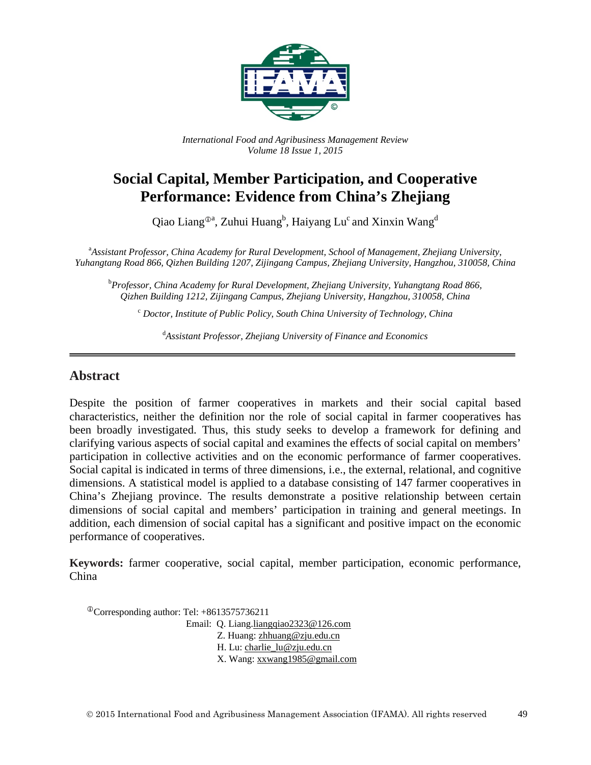

*International Food and Agribusiness Management Review Volume 18 Issue 1, 2015*

# **Social Capital, Member Participation, and Cooperative Performance: Evidence from China's Zhejiang**

Qiao Liang $^{\oplus a}$ , Zuhui Huang $^b$ , Haiyang Lu<sup>c</sup> and Xinxin Wang<sup>d</sup>

a *Assistant Professor, China Academy for Rural Development, School of Management, Zhejiang University, Yuhangtang Road 866, Qizhen Building 1207, Zijingang Campus, Zhejiang University, Hangzhou, 310058, China*

b *Professor, China Academy for Rural Development, Zhejiang University, Yuhangtang Road 866, Qizhen Building 1212, Zijingang Campus, Zhejiang University, Hangzhou, 310058, China*

<sup>c</sup> *Doctor, Institute of Public Policy, South China University of Technology, China*

d *Assistant Professor, Zhejiang University of Finance and Economics*

#### **Abstract**

Despite the position of farmer cooperatives in markets and their social capital based characteristics, neither the definition nor the role of social capital in farmer cooperatives has been broadly investigated. Thus, this study seeks to develop a framework for defining and clarifying various aspects of social capital and examines the effects of social capital on members' participation in collective activities and on the economic performance of farmer cooperatives. Social capital is indicated in terms of three dimensions, i.e., the external, relational, and cognitive dimensions. A statistical model is applied to a database consisting of 147 farmer cooperatives in China's Zhejiang province. The results demonstrate a positive relationship between certain dimensions of social capital and members' participation in training and general meetings. In addition, each dimension of social capital has a significant and positive impact on the economic performance of cooperatives.

**Keywords:** farmer cooperative, social capital, member participation, economic performance, China

Corresponding author: Tel: +8613575736211

Email: Q. Lian[g.liangqiao2323@126.com](mailto:liangqiao2323@126.com)

Z. Huang: [zhhuang@zju.edu.cn](mailto:zhhuang@zju.edu.cn)

H. Lu[: charlie\\_lu@zju.edu.cn](mailto:charlie_lu@zju.edu.cn)

X. Wang: [xxwang1985@gmail.com](mailto:xxwang1985@gmail.com)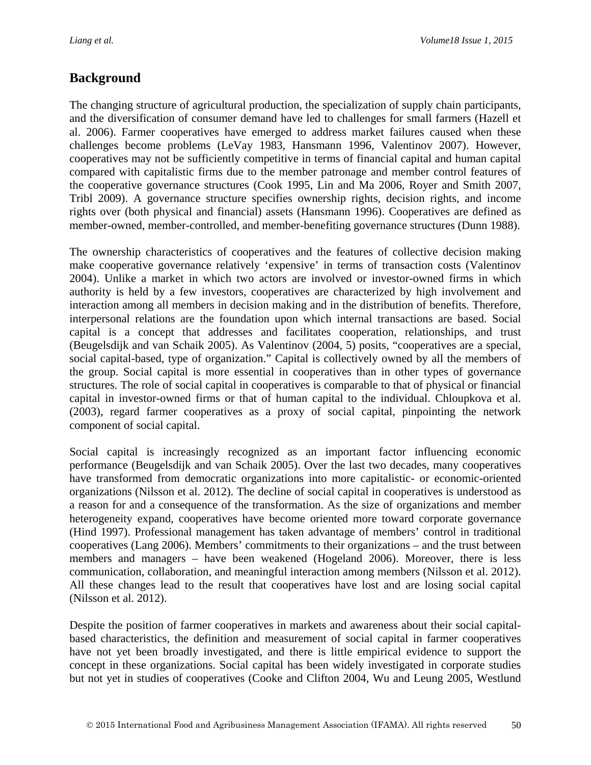## **Background**

The changing structure of agricultural production, the specialization of supply chain participants, and the diversification of consumer demand have led to challenges for small farmers (Hazell et al. 2006). Farmer cooperatives have emerged to address market failures caused when these challenges become problems (LeVay 1983, Hansmann 1996, Valentinov 2007). However, cooperatives may not be sufficiently competitive in terms of financial capital and human capital compared with capitalistic firms due to the member patronage and member control features of the cooperative governance structures (Cook 1995, Lin and Ma 2006, Royer and Smith 2007, Tribl 2009). A governance structure specifies ownership rights, decision rights, and income rights over (both physical and financial) assets (Hansmann 1996). Cooperatives are defined as member-owned, member-controlled, and member-benefiting governance structures (Dunn 1988).

The ownership characteristics of cooperatives and the features of collective decision making make cooperative governance relatively 'expensive' in terms of transaction costs (Valentinov 2004). Unlike a market in which two actors are involved or investor-owned firms in which authority is held by a few investors, cooperatives are characterized by high involvement and interaction among all members in decision making and in the distribution of benefits. Therefore, interpersonal relations are the foundation upon which internal transactions are based. Social capital is a concept that addresses and facilitates cooperation, relationships, and trust (Beugelsdijk and van Schaik 2005). As Valentinov (2004, 5) posits, "cooperatives are a special, social capital-based, type of organization." Capital is collectively owned by all the members of the group. Social capital is more essential in cooperatives than in other types of governance structures. The role of social capital in cooperatives is comparable to that of physical or financial capital in investor-owned firms or that of human capital to the individual. Chloupkova et al. (2003), regard farmer cooperatives as a proxy of social capital, pinpointing the network component of social capital.

Social capital is increasingly recognized as an important factor influencing economic performance (Beugelsdijk and van Schaik 2005). Over the last two decades, many cooperatives have transformed from democratic organizations into more capitalistic- or economic-oriented organizations (Nilsson et al. 2012). The decline of social capital in cooperatives is understood as a reason for and a consequence of the transformation. As the size of organizations and member heterogeneity expand, cooperatives have become oriented more toward corporate governance (Hind 1997). Professional management has taken advantage of members' control in traditional cooperatives (Lang 2006). Members' commitments to their organizations – and the trust between members and managers – have been weakened (Hogeland 2006). Moreover, there is less communication, collaboration, and meaningful interaction among members (Nilsson et al. 2012). All these changes lead to the result that cooperatives have lost and are losing social capital (Nilsson et al. 2012).

Despite the position of farmer cooperatives in markets and awareness about their social capitalbased characteristics, the definition and measurement of social capital in farmer cooperatives have not yet been broadly investigated, and there is little empirical evidence to support the concept in these organizations. Social capital has been widely investigated in corporate studies but not yet in studies of cooperatives (Cooke and Clifton 2004, Wu and Leung 2005, Westlund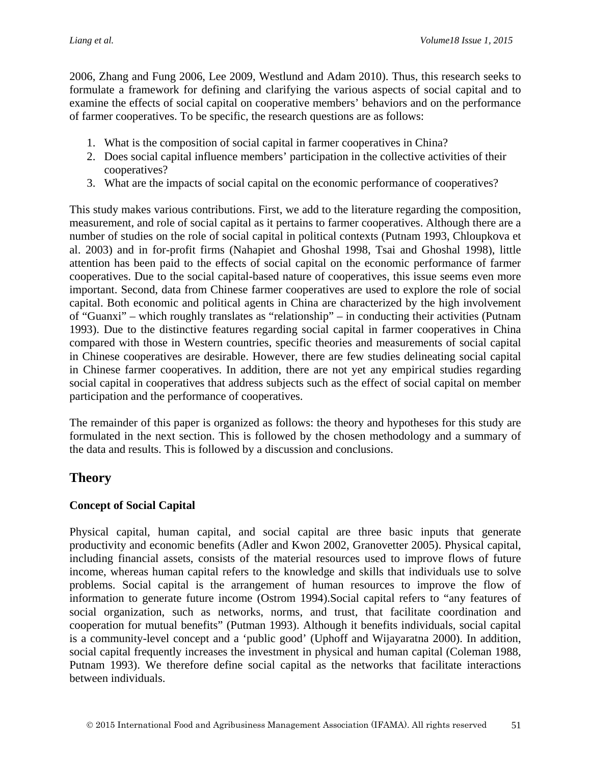2006, Zhang and Fung 2006, Lee 2009, Westlund and Adam 2010). Thus, this research seeks to formulate a framework for defining and clarifying the various aspects of social capital and to examine the effects of social capital on cooperative members' behaviors and on the performance of farmer cooperatives. To be specific, the research questions are as follows:

- 1. What is the composition of social capital in farmer cooperatives in China?
- 2. Does social capital influence members' participation in the collective activities of their cooperatives?
- 3. What are the impacts of social capital on the economic performance of cooperatives?

This study makes various contributions. First, we add to the literature regarding the composition, measurement, and role of social capital as it pertains to farmer cooperatives. Although there are a number of studies on the role of social capital in political contexts (Putnam 1993, Chloupkova et al. 2003) and in for-profit firms (Nahapiet and Ghoshal 1998, Tsai and Ghoshal 1998), little attention has been paid to the effects of social capital on the economic performance of farmer cooperatives. Due to the social capital-based nature of cooperatives, this issue seems even more important. Second, data from Chinese farmer cooperatives are used to explore the role of social capital. Both economic and political agents in China are characterized by the high involvement of "Guanxi" – which roughly translates as "relationship" – in conducting their activities (Putnam 1993). Due to the distinctive features regarding social capital in farmer cooperatives in China compared with those in Western countries, specific theories and measurements of social capital in Chinese cooperatives are desirable. However, there are few studies delineating social capital in Chinese farmer cooperatives. In addition, there are not yet any empirical studies regarding social capital in cooperatives that address subjects such as the effect of social capital on member participation and the performance of cooperatives.

The remainder of this paper is organized as follows: the theory and hypotheses for this study are formulated in the next section. This is followed by the chosen methodology and a summary of the data and results. This is followed by a discussion and conclusions.

# **Theory**

### **Concept of Social Capital**

Physical capital, human capital, and social capital are three basic inputs that generate productivity and economic benefits (Adler and Kwon 2002, Granovetter 2005). Physical capital, including financial assets, consists of the material resources used to improve flows of future income, whereas human capital refers to the knowledge and skills that individuals use to solve problems. Social capital is the arrangement of human resources to improve the flow of information to generate future income (Ostrom 1994).Social capital refers to "any features of social organization, such as networks, norms, and trust, that facilitate coordination and cooperation for mutual benefits" (Putman 1993). Although it benefits individuals, social capital is a community-level concept and a 'public good' (Uphoff and Wijayaratna 2000). In addition, social capital frequently increases the investment in physical and human capital (Coleman 1988, Putnam 1993). We therefore define social capital as the networks that facilitate interactions between individuals.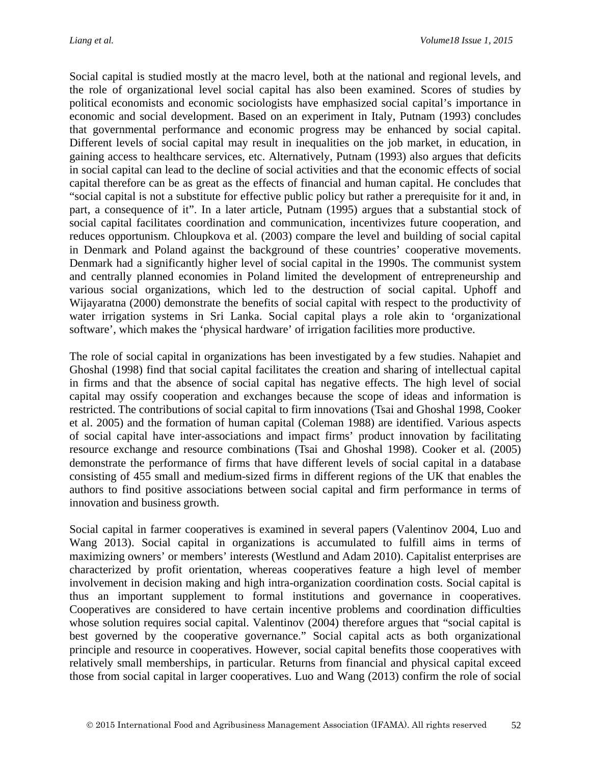Social capital is studied mostly at the macro level, both at the national and regional levels, and the role of organizational level social capital has also been examined. Scores of studies by political economists and economic sociologists have emphasized social capital's importance in economic and social development. Based on an experiment in Italy, Putnam (1993) concludes that governmental performance and economic progress may be enhanced by social capital. Different levels of social capital may result in inequalities on the job market, in education, in gaining access to healthcare services, etc. Alternatively, Putnam (1993) also argues that deficits in social capital can lead to the decline of social activities and that the economic effects of social capital therefore can be as great as the effects of financial and human capital. He concludes that "social capital is not a substitute for effective public policy but rather a prerequisite for it and, in part, a consequence of it". In a later article, Putnam (1995) argues that a substantial stock of social capital facilitates coordination and communication, incentivizes future cooperation, and reduces opportunism. Chloupkova et al. (2003) compare the level and building of social capital in Denmark and Poland against the background of these countries' cooperative movements. Denmark had a significantly higher level of social capital in the 1990s. The communist system and centrally planned economies in Poland limited the development of entrepreneurship and various social organizations, which led to the destruction of social capital. Uphoff and Wijayaratna (2000) demonstrate the benefits of social capital with respect to the productivity of water irrigation systems in Sri Lanka. Social capital plays a role akin to 'organizational software', which makes the 'physical hardware' of irrigation facilities more productive.

The role of social capital in organizations has been investigated by a few studies. Nahapiet and Ghoshal (1998) find that social capital facilitates the creation and sharing of intellectual capital in firms and that the absence of social capital has negative effects. The high level of social capital may ossify cooperation and exchanges because the scope of ideas and information is restricted. The contributions of social capital to firm innovations (Tsai and Ghoshal 1998, Cooker et al. 2005) and the formation of human capital (Coleman 1988) are identified. Various aspects of social capital have inter-associations and impact firms' product innovation by facilitating resource exchange and resource combinations (Tsai and Ghoshal 1998). Cooker et al. (2005) demonstrate the performance of firms that have different levels of social capital in a database consisting of 455 small and medium-sized firms in different regions of the UK that enables the authors to find positive associations between social capital and firm performance in terms of innovation and business growth.

Social capital in farmer cooperatives is examined in several papers (Valentinov 2004, Luo and Wang 2013). Social capital in organizations is accumulated to fulfill aims in terms of maximizing owners' or members' interests (Westlund and Adam 2010). Capitalist enterprises are characterized by profit orientation, whereas cooperatives feature a high level of member involvement in decision making and high intra-organization coordination costs. Social capital is thus an important supplement to formal institutions and governance in cooperatives. Cooperatives are considered to have certain incentive problems and coordination difficulties whose solution requires social capital. Valentinov (2004) therefore argues that "social capital is best governed by the cooperative governance." Social capital acts as both organizational principle and resource in cooperatives. However, social capital benefits those cooperatives with relatively small memberships, in particular. Returns from financial and physical capital exceed those from social capital in larger cooperatives. Luo and Wang (2013) confirm the role of social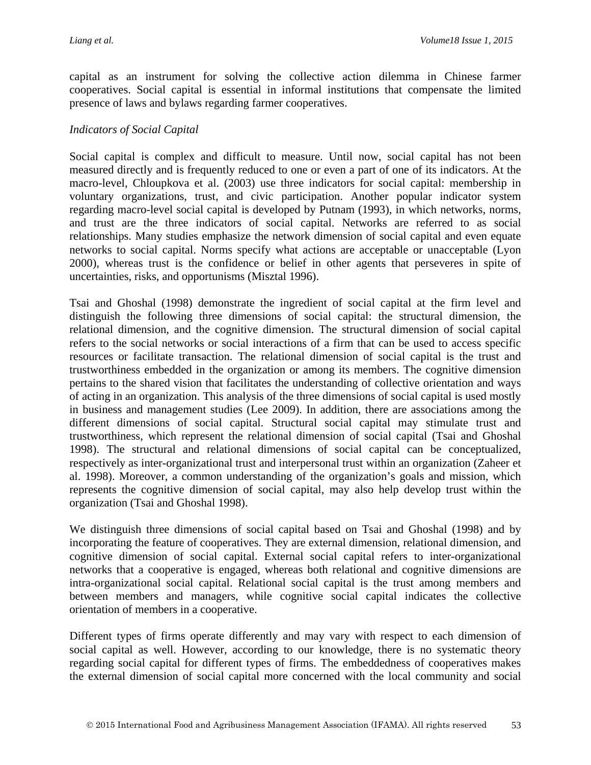capital as an instrument for solving the collective action dilemma in Chinese farmer cooperatives. Social capital is essential in informal institutions that compensate the limited presence of laws and bylaws regarding farmer cooperatives.

#### *Indicators of Social Capital*

Social capital is complex and difficult to measure. Until now, social capital has not been measured directly and is frequently reduced to one or even a part of one of its indicators. At the macro-level, Chloupkova et al. (2003) use three indicators for social capital: membership in voluntary organizations, trust, and civic participation. Another popular indicator system regarding macro-level social capital is developed by Putnam (1993), in which networks, norms, and trust are the three indicators of social capital. Networks are referred to as social relationships. Many studies emphasize the network dimension of social capital and even equate networks to social capital. Norms specify what actions are acceptable or unacceptable (Lyon 2000), whereas trust is the confidence or belief in other agents that perseveres in spite of uncertainties, risks, and opportunisms (Misztal 1996).

Tsai and Ghoshal (1998) demonstrate the ingredient of social capital at the firm level and distinguish the following three dimensions of social capital: the structural dimension, the relational dimension, and the cognitive dimension. The structural dimension of social capital refers to the social networks or social interactions of a firm that can be used to access specific resources or facilitate transaction. The relational dimension of social capital is the trust and trustworthiness embedded in the organization or among its members. The cognitive dimension pertains to the shared vision that facilitates the understanding of collective orientation and ways of acting in an organization. This analysis of the three dimensions of social capital is used mostly in business and management studies (Lee 2009). In addition, there are associations among the different dimensions of social capital. Structural social capital may stimulate trust and trustworthiness, which represent the relational dimension of social capital (Tsai and Ghoshal 1998). The structural and relational dimensions of social capital can be conceptualized, respectively as inter-organizational trust and interpersonal trust within an organization (Zaheer et al. 1998). Moreover, a common understanding of the organization's goals and mission, which represents the cognitive dimension of social capital, may also help develop trust within the organization (Tsai and Ghoshal 1998).

We distinguish three dimensions of social capital based on Tsai and Ghoshal (1998) and by incorporating the feature of cooperatives. They are external dimension, relational dimension, and cognitive dimension of social capital. External social capital refers to inter-organizational networks that a cooperative is engaged, whereas both relational and cognitive dimensions are intra-organizational social capital. Relational social capital is the trust among members and between members and managers, while cognitive social capital indicates the collective orientation of members in a cooperative.

Different types of firms operate differently and may vary with respect to each dimension of social capital as well. However, according to our knowledge, there is no systematic theory regarding social capital for different types of firms. The embeddedness of cooperatives makes the external dimension of social capital more concerned with the local community and social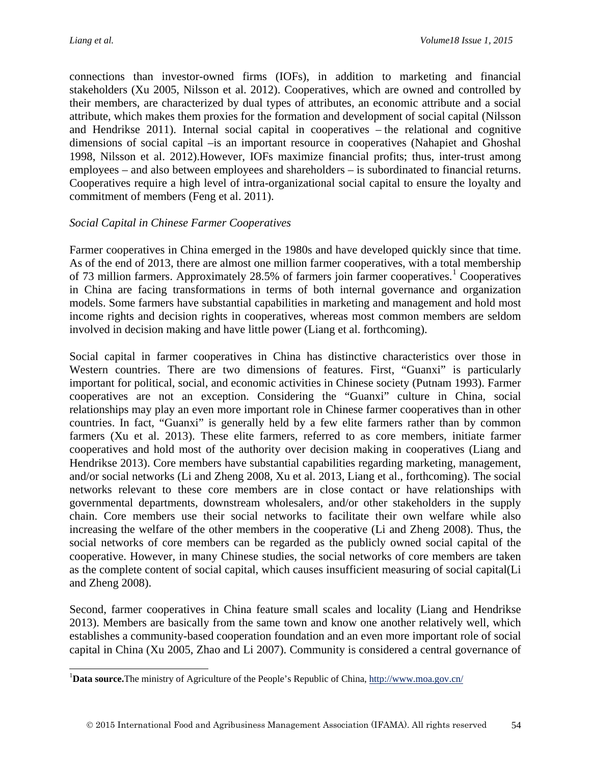$\overline{a}$ 

connections than investor-owned firms (IOFs), in addition to marketing and financial stakeholders (Xu 2005, Nilsson et al. 2012). Cooperatives, which are owned and controlled by their members, are characterized by dual types of attributes, an economic attribute and a social attribute, which makes them proxies for the formation and development of social capital (Nilsson and Hendrikse 2011). Internal social capital in cooperatives – the relational and cognitive dimensions of social capital –is an important resource in cooperatives (Nahapiet and Ghoshal 1998, Nilsson et al. 2012).However, IOFs maximize financial profits; thus, inter-trust among employees – and also between employees and shareholders – is subordinated to financial returns. Cooperatives require a high level of intra-organizational social capital to ensure the loyalty and commitment of members (Feng et al. 2011).

#### *Social Capital in Chinese Farmer Cooperatives*

Farmer cooperatives in China emerged in the 1980s and have developed quickly since that time. As of the end of 2013, there are almost one million farmer cooperatives, with a total membership of 73 million farmers. Approximately  $28.5\%$  of farmers join farmer cooperatives.<sup>[1](#page-5-0)</sup> Cooperatives in China are facing transformations in terms of both internal governance and organization models. Some farmers have substantial capabilities in marketing and management and hold most income rights and decision rights in cooperatives, whereas most common members are seldom involved in decision making and have little power (Liang et al. forthcoming).

Social capital in farmer cooperatives in China has distinctive characteristics over those in Western countries. There are two dimensions of features. First, "Guanxi" is particularly important for political, social, and economic activities in Chinese society (Putnam 1993). Farmer cooperatives are not an exception. Considering the "Guanxi" culture in China, social relationships may play an even more important role in Chinese farmer cooperatives than in other countries. In fact, "Guanxi" is generally held by a few elite farmers rather than by common farmers (Xu et al. 2013). These elite farmers, referred to as core members, initiate farmer cooperatives and hold most of the authority over decision making in cooperatives (Liang and Hendrikse 2013). Core members have substantial capabilities regarding marketing, management, and/or social networks (Li and Zheng 2008, Xu et al. 2013, Liang et al., forthcoming). The social networks relevant to these core members are in close contact or have relationships with governmental departments, downstream wholesalers, and/or other stakeholders in the supply chain. Core members use their social networks to facilitate their own welfare while also increasing the welfare of the other members in the cooperative (Li and Zheng 2008). Thus, the social networks of core members can be regarded as the publicly owned social capital of the cooperative. However, in many Chinese studies, the social networks of core members are taken as the complete content of social capital, which causes insufficient measuring of social capital(Li and Zheng 2008).

Second, farmer cooperatives in China feature small scales and locality (Liang and Hendrikse 2013). Members are basically from the same town and know one another relatively well, which establishes a community-based cooperation foundation and an even more important role of social capital in China (Xu 2005, Zhao and Li 2007). Community is considered a central governance of

<span id="page-5-0"></span><sup>&</sup>lt;sup>1</sup>Data source.The ministry of Agriculture of the People's Republic of China, <http://www.moa.gov.cn/>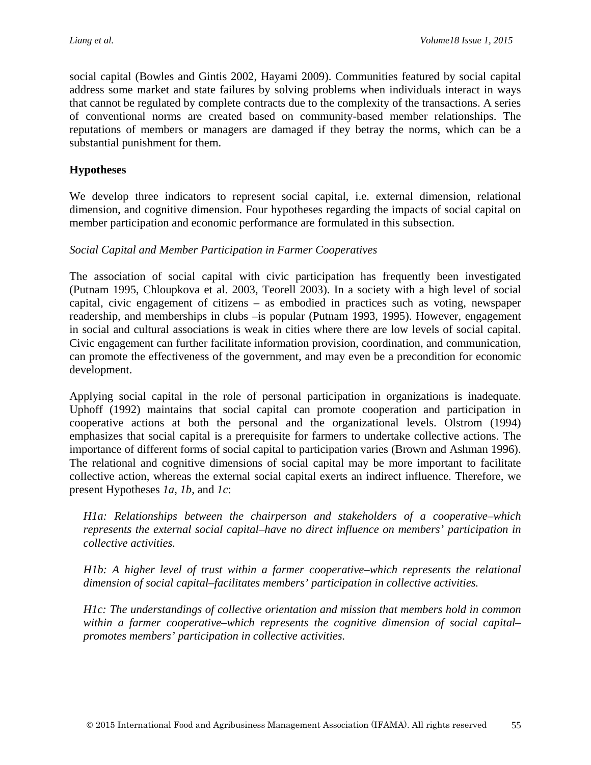social capital (Bowles and Gintis 2002, Hayami 2009). Communities featured by social capital address some market and state failures by solving problems when individuals interact in ways that cannot be regulated by complete contracts due to the complexity of the transactions. A series of conventional norms are created based on community-based member relationships. The reputations of members or managers are damaged if they betray the norms, which can be a substantial punishment for them.

#### **Hypotheses**

We develop three indicators to represent social capital, i.e. external dimension, relational dimension, and cognitive dimension. Four hypotheses regarding the impacts of social capital on member participation and economic performance are formulated in this subsection.

#### *Social Capital and Member Participation in Farmer Cooperatives*

The association of social capital with civic participation has frequently been investigated (Putnam 1995, Chloupkova et al. 2003, Teorell 2003). In a society with a high level of social capital, civic engagement of citizens – as embodied in practices such as voting, newspaper readership, and memberships in clubs –is popular (Putnam 1993, 1995). However, engagement in social and cultural associations is weak in cities where there are low levels of social capital. Civic engagement can further facilitate information provision, coordination, and communication, can promote the effectiveness of the government, and may even be a precondition for economic development.

Applying social capital in the role of personal participation in organizations is inadequate. Uphoff (1992) maintains that social capital can promote cooperation and participation in cooperative actions at both the personal and the organizational levels. Olstrom (1994) emphasizes that social capital is a prerequisite for farmers to undertake collective actions. The importance of different forms of social capital to participation varies (Brown and Ashman 1996). The relational and cognitive dimensions of social capital may be more important to facilitate collective action, whereas the external social capital exerts an indirect influence. Therefore, we present Hypotheses *1a*, *1b*, and *1c*:

*H1a: Relationships between the chairperson and stakeholders of a cooperative–which represents the external social capital–have no direct influence on members' participation in collective activities.*

*H1b: A higher level of trust within a farmer cooperative–which represents the relational dimension of social capital–facilitates members' participation in collective activities.*

*H1c: The understandings of collective orientation and mission that members hold in common within a farmer cooperative–which represents the cognitive dimension of social capital– promotes members' participation in collective activities.*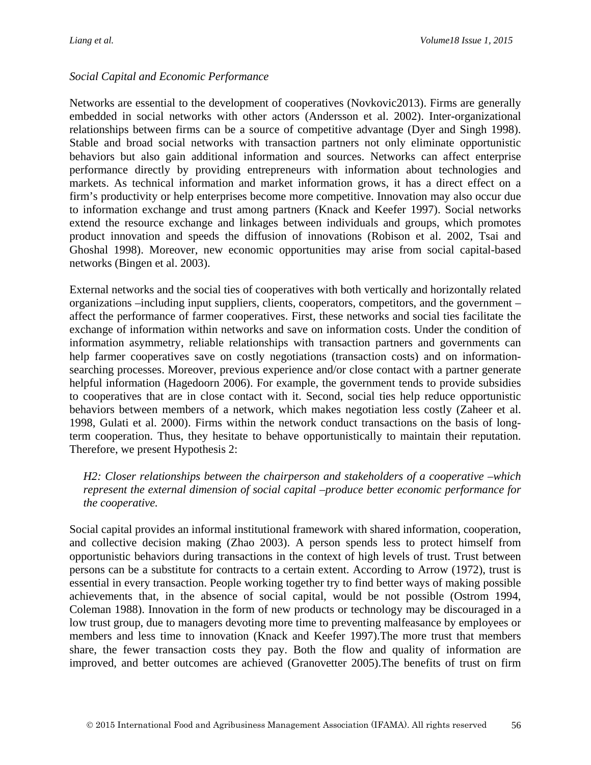#### *Social Capital and Economic Performance*

Networks are essential to the development of cooperatives (Novkovic2013). Firms are generally embedded in social networks with other actors (Andersson et al. 2002). Inter-organizational relationships between firms can be a source of competitive advantage (Dyer and Singh 1998). Stable and broad social networks with transaction partners not only eliminate opportunistic behaviors but also gain additional information and sources. Networks can affect enterprise performance directly by providing entrepreneurs with information about technologies and markets. As technical information and market information grows, it has a direct effect on a firm's productivity or help enterprises become more competitive. Innovation may also occur due to information exchange and trust among partners (Knack and Keefer 1997). Social networks extend the resource exchange and linkages between individuals and groups, which promotes product innovation and speeds the diffusion of innovations (Robison et al. 2002, Tsai and Ghoshal 1998). Moreover, new economic opportunities may arise from social capital-based networks (Bingen et al. 2003).

External networks and the social ties of cooperatives with both vertically and horizontally related organizations –including input suppliers, clients, cooperators, competitors, and the government – affect the performance of farmer cooperatives. First, these networks and social ties facilitate the exchange of information within networks and save on information costs. Under the condition of information asymmetry, reliable relationships with transaction partners and governments can help farmer cooperatives save on costly negotiations (transaction costs) and on informationsearching processes. Moreover, previous experience and/or close contact with a partner generate helpful information (Hagedoorn 2006). For example, the government tends to provide subsidies to cooperatives that are in close contact with it. Second, social ties help reduce opportunistic behaviors between members of a network, which makes negotiation less costly (Zaheer et al. 1998, Gulati et al. 2000). Firms within the network conduct transactions on the basis of longterm cooperation. Thus, they hesitate to behave opportunistically to maintain their reputation. Therefore, we present Hypothesis 2:

*H2: Closer relationships between the chairperson and stakeholders of a cooperative –which represent the external dimension of social capital –produce better economic performance for the cooperative.*

Social capital provides an informal institutional framework with shared information, cooperation, and collective decision making (Zhao 2003). A person spends less to protect himself from opportunistic behaviors during transactions in the context of high levels of trust. Trust between persons can be a substitute for contracts to a certain extent. According to Arrow (1972), trust is essential in every transaction. People working together try to find better ways of making possible achievements that, in the absence of social capital, would be not possible (Ostrom 1994, Coleman 1988). Innovation in the form of new products or technology may be discouraged in a low trust group, due to managers devoting more time to preventing malfeasance by employees or members and less time to innovation (Knack and Keefer 1997).The more trust that members share, the fewer transaction costs they pay. Both the flow and quality of information are improved, and better outcomes are achieved (Granovetter 2005).The benefits of trust on firm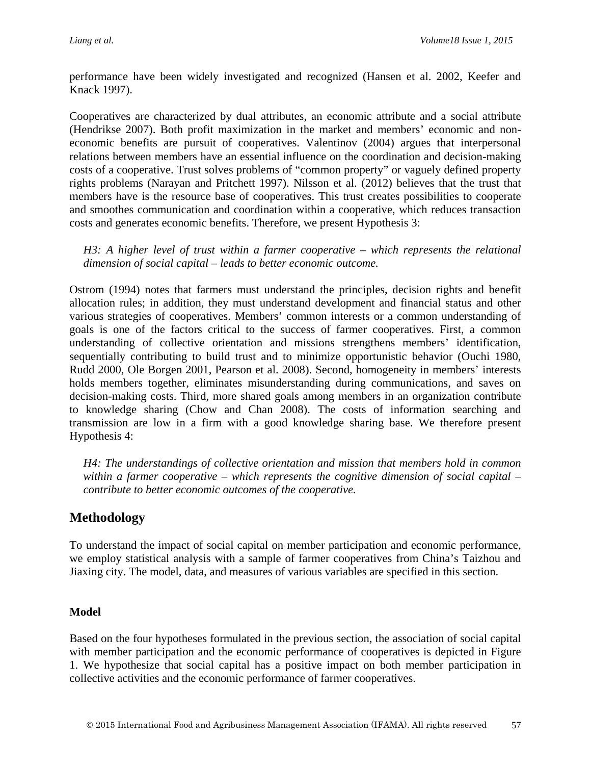performance have been widely investigated and recognized (Hansen et al. 2002, Keefer and Knack 1997).

Cooperatives are characterized by dual attributes, an economic attribute and a social attribute (Hendrikse 2007). Both profit maximization in the market and members' economic and noneconomic benefits are pursuit of cooperatives. Valentinov (2004) argues that interpersonal relations between members have an essential influence on the coordination and decision-making costs of a cooperative. Trust solves problems of "common property" or vaguely defined property rights problems (Narayan and Pritchett 1997). Nilsson et al. (2012) believes that the trust that members have is the resource base of cooperatives. This trust creates possibilities to cooperate and smoothes communication and coordination within a cooperative, which reduces transaction costs and generates economic benefits. Therefore, we present Hypothesis 3:

*H3: A higher level of trust within a farmer cooperative – which represents the relational dimension of social capital – leads to better economic outcome.*

Ostrom (1994) notes that farmers must understand the principles, decision rights and benefit allocation rules; in addition, they must understand development and financial status and other various strategies of cooperatives. Members' common interests or a common understanding of goals is one of the factors critical to the success of farmer cooperatives. First, a common understanding of collective orientation and missions strengthens members' identification, sequentially contributing to build trust and to minimize opportunistic behavior (Ouchi 1980, Rudd 2000, Ole Borgen 2001, Pearson et al. 2008). Second, homogeneity in members' interests holds members together, eliminates misunderstanding during communications, and saves on decision-making costs. Third, more shared goals among members in an organization contribute to knowledge sharing (Chow and Chan 2008). The costs of information searching and transmission are low in a firm with a good knowledge sharing base. We therefore present Hypothesis 4:

*H4: The understandings of collective orientation and mission that members hold in common within a farmer cooperative – which represents the cognitive dimension of social capital – contribute to better economic outcomes of the cooperative.*

### **Methodology**

To understand the impact of social capital on member participation and economic performance, we employ statistical analysis with a sample of farmer cooperatives from China's Taizhou and Jiaxing city. The model, data, and measures of various variables are specified in this section.

#### **Model**

Based on the four hypotheses formulated in the previous section, the association of social capital with member participation and the economic performance of cooperatives is depicted in Figure 1. We hypothesize that social capital has a positive impact on both member participation in collective activities and the economic performance of farmer cooperatives.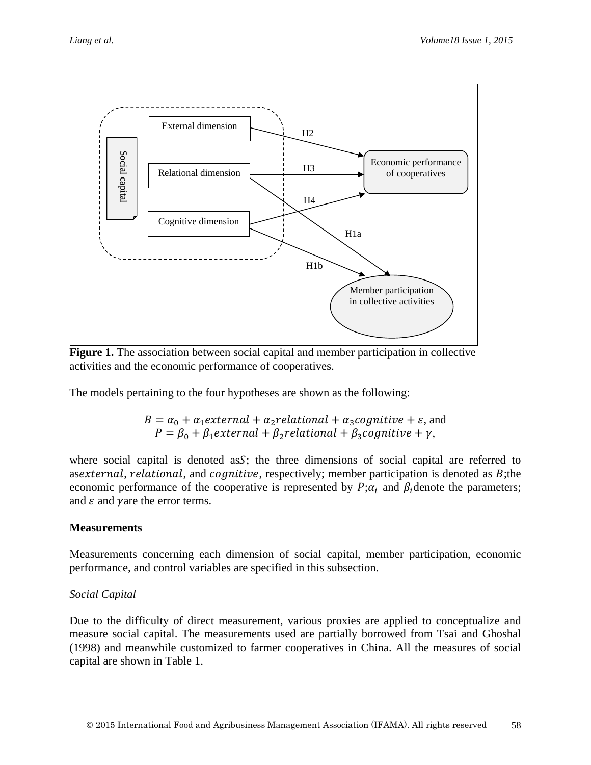

**Figure 1.** The association between social capital and member participation in collective activities and the economic performance of cooperatives.

The models pertaining to the four hypotheses are shown as the following:

$$
B = \alpha_0 + \alpha_1 external + \alpha_2 relational + \alpha_3 cognitive + \varepsilon, and
$$
  

$$
P = \beta_0 + \beta_1 external + \beta_2 relational + \beta_3 cognitive + \gamma,
$$

where social capital is denoted as  $S$ ; the three dimensions of social capital are referred to as, as, *asexternal*, *relational*, and *cognitive*, respectively; member participation is denoted as  $B$ ; the economic performance of the cooperative is represented by  $P; \alpha_i$  and  $\beta_i$  denote the parameters; and  $\varepsilon$  and  $\gamma$  are the error terms.

#### **Measurements**

Measurements concerning each dimension of social capital, member participation, economic performance, and control variables are specified in this subsection.

#### *Social Capital*

Due to the difficulty of direct measurement, various proxies are applied to conceptualize and measure social capital. The measurements used are partially borrowed from Tsai and Ghoshal (1998) and meanwhile customized to farmer cooperatives in China. All the measures of social capital are shown in Table 1.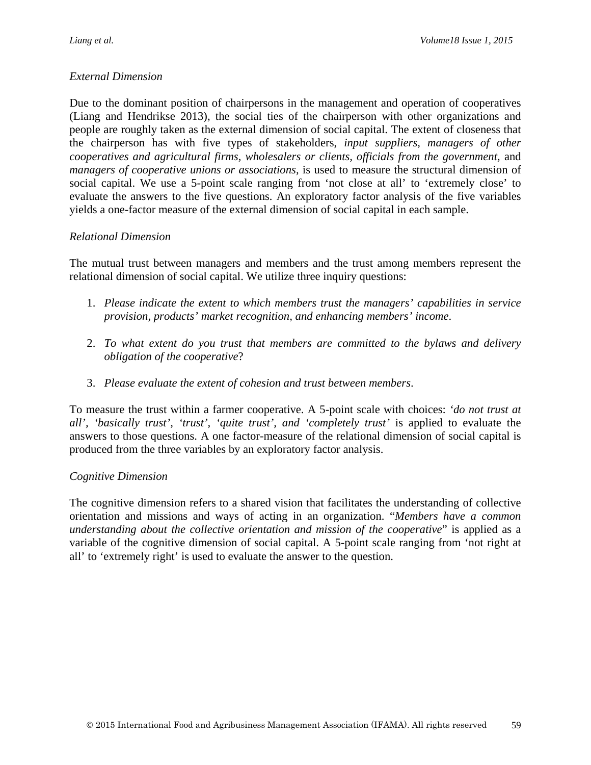#### *External Dimension*

Due to the dominant position of chairpersons in the management and operation of cooperatives (Liang and Hendrikse 2013), the social ties of the chairperson with other organizations and people are roughly taken as the external dimension of social capital. The extent of closeness that the chairperson has with five types of stakeholders, *input suppliers, managers of other cooperatives and agricultural firms, wholesalers or clients, officials from the government,* and *managers of cooperative unions or associations,* is used to measure the structural dimension of social capital. We use a 5-point scale ranging from 'not close at all' to 'extremely close' to evaluate the answers to the five questions. An exploratory factor analysis of the five variables yields a one-factor measure of the external dimension of social capital in each sample.

#### *Relational Dimension*

The mutual trust between managers and members and the trust among members represent the relational dimension of social capital. We utilize three inquiry questions:

- 1. *Please indicate the extent to which members trust the managers' capabilities in service provision, products' market recognition, and enhancing members' income*.
- 2. *To what extent do you trust that members are committed to the bylaws and delivery obligation of the cooperative*?
- 3. *Please evaluate the extent of cohesion and trust between members*.

To measure the trust within a farmer cooperative. A 5-point scale with choices: *'do not trust at all', 'basically trust', 'trust', 'quite trust', and 'completely trust'* is applied to evaluate the answers to those questions. A one factor-measure of the relational dimension of social capital is produced from the three variables by an exploratory factor analysis.

#### *Cognitive Dimension*

The cognitive dimension refers to a shared vision that facilitates the understanding of collective orientation and missions and ways of acting in an organization. "*Members have a common understanding about the collective orientation and mission of the cooperative*" is applied as a variable of the cognitive dimension of social capital. A 5-point scale ranging from 'not right at all' to 'extremely right' is used to evaluate the answer to the question.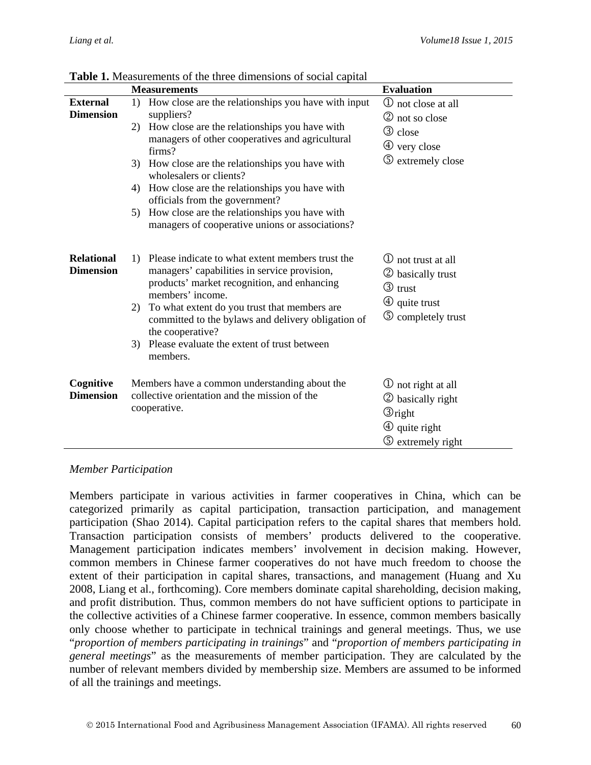|                                       |                              | <b>Measurements</b>                                                                                                                                                                                                                                                                                                                                                                                                                                | <b>Evaluation</b>                                                                                                               |
|---------------------------------------|------------------------------|----------------------------------------------------------------------------------------------------------------------------------------------------------------------------------------------------------------------------------------------------------------------------------------------------------------------------------------------------------------------------------------------------------------------------------------------------|---------------------------------------------------------------------------------------------------------------------------------|
| <b>External</b><br><b>Dimension</b>   | 1)<br>2)<br>3)<br>4)<br>5)   | How close are the relationships you have with input<br>suppliers?<br>How close are the relationships you have with<br>managers of other cooperatives and agricultural<br>firms?<br>How close are the relationships you have with<br>wholesalers or clients?<br>How close are the relationships you have with<br>officials from the government?<br>How close are the relationships you have with<br>managers of cooperative unions or associations? | <b>①</b> not close at all<br>2 not so close<br><b>3</b> close<br>4 very close<br><b>5</b> extremely close                       |
| <b>Relational</b><br><b>Dimension</b> | $\left( \right)$<br>2)<br>3) | Please indicate to what extent members trust the<br>managers' capabilities in service provision,<br>products' market recognition, and enhancing<br>members' income.<br>To what extent do you trust that members are<br>committed to the bylaws and delivery obligation of<br>the cooperative?<br>Please evaluate the extent of trust between<br>members.                                                                                           | <b>1</b> not trust at all<br>2 basically trust<br><b>3</b> trust<br>$\circled{4}$ quite trust<br><b>5</b> completely trust      |
| Cognitive<br><b>Dimension</b>         |                              | Members have a common understanding about the<br>collective orientation and the mission of the<br>cooperative.                                                                                                                                                                                                                                                                                                                                     | 10 not right at all<br>2 basically right<br>$\mathcal{D}_{\text{right}}$<br>$\Phi$ quite right<br>$\circled{S}$ extremely right |

**Table 1.** Measurements of the three dimensions of social capital

#### *Member Participation*

Members participate in various activities in farmer cooperatives in China, which can be categorized primarily as capital participation, transaction participation, and management participation (Shao 2014). Capital participation refers to the capital shares that members hold. Transaction participation consists of members' products delivered to the cooperative. Management participation indicates members' involvement in decision making. However, common members in Chinese farmer cooperatives do not have much freedom to choose the extent of their participation in capital shares, transactions, and management (Huang and Xu 2008, Liang et al., forthcoming). Core members dominate capital shareholding, decision making, and profit distribution. Thus, common members do not have sufficient options to participate in the collective activities of a Chinese farmer cooperative. In essence, common members basically only choose whether to participate in technical trainings and general meetings. Thus, we use "*proportion of members participating in trainings*" and "*proportion of members participating in general meetings*" as the measurements of member participation. They are calculated by the number of relevant members divided by membership size. Members are assumed to be informed of all the trainings and meetings.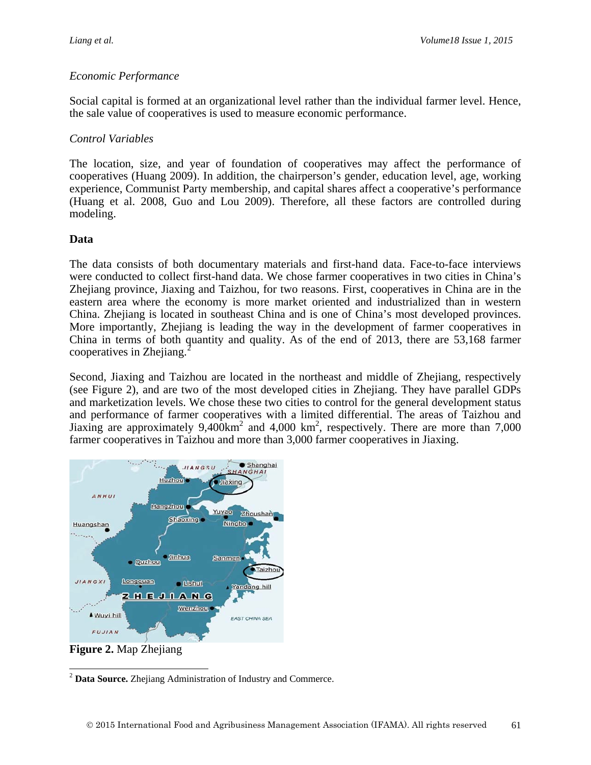#### *Economic Performance*

Social capital is formed at an organizational level rather than the individual farmer level. Hence, the sale value of cooperatives is used to measure economic performance.

#### *Control Variables*

The location, size, and year of foundation of cooperatives may affect the performance of cooperatives (Huang 2009). In addition, the chairperson's gender, education level, age, working experience, Communist Party membership, and capital shares affect a cooperative's performance (Huang et al. 2008, Guo and Lou 2009). Therefore, all these factors are controlled during modeling.

#### **Data**

The data consists of both documentary materials and first-hand data. Face-to-face interviews were conducted to collect first-hand data. We chose farmer cooperatives in two cities in China's Zhejiang province, Jiaxing and Taizhou, for two reasons. First, cooperatives in China are in the eastern area where the economy is more market oriented and industrialized than in western China. Zhejiang is located in southeast China and is one of China's most developed provinces. More importantly, Zhejiang is leading the way in the development of farmer cooperatives in China in terms of both quantity and quality. As of the end of 2013, there are 53,168 farmer cooperatives in Zhejiang.<sup>[2](#page-12-0)</sup>

Second, Jiaxing and Taizhou are located in the northeast and middle of Zhejiang, respectively (see Figure 2), and are two of the most developed cities in Zhejiang. They have parallel GDPs and marketization levels. We chose these two cities to control for the general development status and performance of farmer cooperatives with a limited differential. The areas of Taizhou and Jiaxing are approximately  $9,400$ km<sup>2</sup> and  $4,000$  km<sup>2</sup>, respectively. There are more than 7,000 farmer cooperatives in Taizhou and more than 3,000 farmer cooperatives in Jiaxing.



**Figure 2.** Map Zhejiang

<span id="page-12-0"></span><sup>2</sup> **Data Source.** Zhejiang Administration of Industry and Commerce.  $\overline{a}$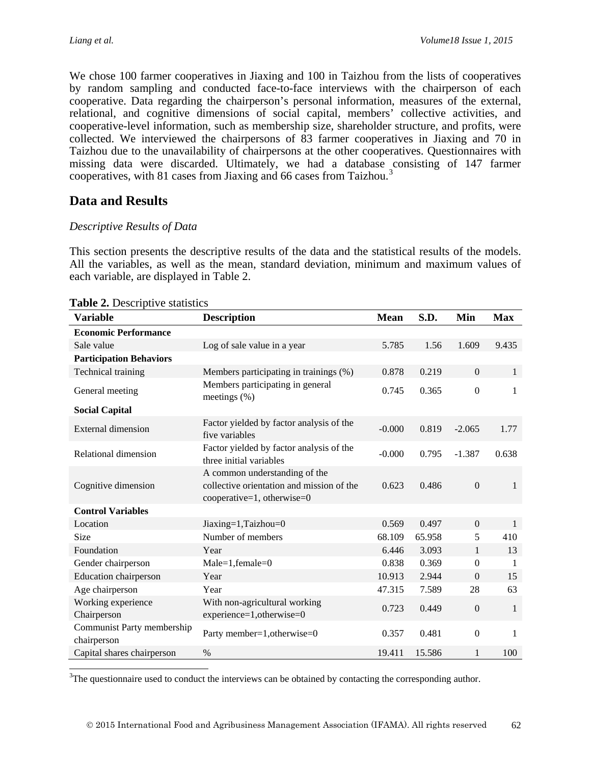We chose 100 farmer cooperatives in Jiaxing and 100 in Taizhou from the lists of cooperatives by random sampling and conducted face-to-face interviews with the chairperson of each cooperative. Data regarding the chairperson's personal information, measures of the external, relational, and cognitive dimensions of social capital, members' collective activities, and cooperative-level information, such as membership size, shareholder structure, and profits, were collected. We interviewed the chairpersons of 83 farmer cooperatives in Jiaxing and 70 in Taizhou due to the unavailability of chairpersons at the other cooperatives. Questionnaires with missing data were discarded. Ultimately, we had a database consisting of 147 farmer cooperatives, with 81 cases from Jiaxing and 66 cases from Taizhou.<sup>[3](#page-13-0)</sup>

# **Data and Results**

### *Descriptive Results of Data*

This section presents the descriptive results of the data and the statistical results of the models. All the variables, as well as the mean, standard deviation, minimum and maximum values of each variable, are displayed in Table 2.

| Variable                                  | <b>Description</b>                                                                                       | <b>Mean</b> | S.D.   | Min              | <b>Max</b>   |
|-------------------------------------------|----------------------------------------------------------------------------------------------------------|-------------|--------|------------------|--------------|
| <b>Economic Performance</b>               |                                                                                                          |             |        |                  |              |
| Sale value                                | Log of sale value in a year                                                                              | 5.785       | 1.56   | 1.609            | 9.435        |
| <b>Participation Behaviors</b>            |                                                                                                          |             |        |                  |              |
| Technical training                        | Members participating in trainings (%)                                                                   | 0.878       | 0.219  | $\boldsymbol{0}$ | 1            |
| General meeting                           | Members participating in general<br>meetings $(\%)$                                                      | 0.745       | 0.365  | $\boldsymbol{0}$ | 1            |
| <b>Social Capital</b>                     |                                                                                                          |             |        |                  |              |
| External dimension                        | Factor yielded by factor analysis of the<br>five variables                                               | $-0.000$    | 0.819  | $-2.065$         | 1.77         |
| Relational dimension                      | Factor yielded by factor analysis of the<br>three initial variables                                      | $-0.000$    | 0.795  | $-1.387$         | 0.638        |
| Cognitive dimension                       | A common understanding of the<br>collective orientation and mission of the<br>cooperative=1, otherwise=0 | 0.623       | 0.486  | $\mathbf{0}$     | 1            |
| <b>Control Variables</b>                  |                                                                                                          |             |        |                  |              |
| Location                                  | Jiaxing=1,Taizhou=0                                                                                      | 0.569       | 0.497  | $\boldsymbol{0}$ | 1            |
| Size                                      | Number of members                                                                                        | 68.109      | 65.958 | 5                | 410          |
| Foundation                                | Year                                                                                                     | 6.446       | 3.093  | $\mathbf{1}$     | 13           |
| Gender chairperson                        | $Male=1, female=0$                                                                                       | 0.838       | 0.369  | $\boldsymbol{0}$ | 1            |
| <b>Education</b> chairperson              | Year                                                                                                     | 10.913      | 2.944  | $\Omega$         | 15           |
| Age chairperson                           | Year                                                                                                     | 47.315      | 7.589  | 28               | 63           |
| Working experience<br>Chairperson         | With non-agricultural working<br>experience=1,otherwise=0                                                | 0.723       | 0.449  | $\boldsymbol{0}$ | $\mathbf{1}$ |
| Communist Party membership<br>chairperson | Party member=1, otherwise=0                                                                              | 0.357       | 0.481  | $\boldsymbol{0}$ | 1            |
| Capital shares chairperson                | $\%$                                                                                                     | 19.411      | 15.586 | 1                | 100          |

**Table 2.** Descriptive statistics

 $\overline{a}$ 

<span id="page-13-0"></span> $3$ The questionnaire used to conduct the interviews can be obtained by contacting the corresponding author.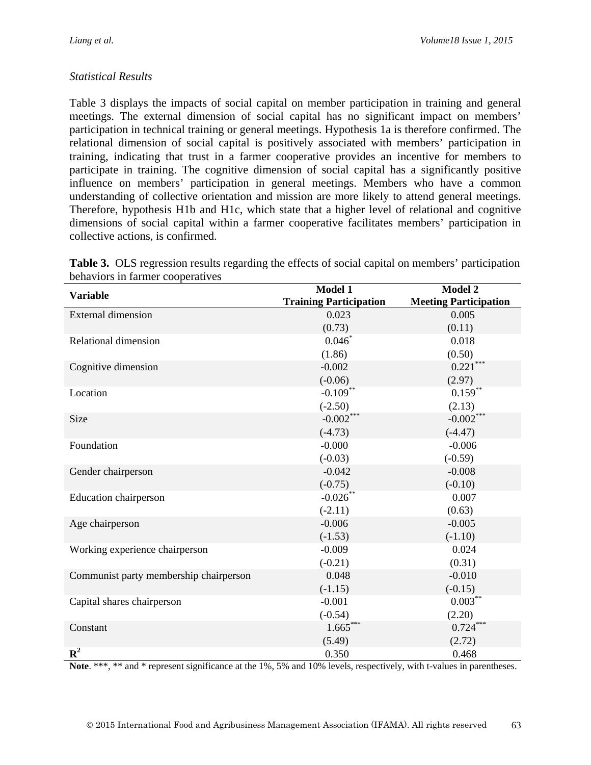### *Statistical Results*

Table 3 displays the impacts of social capital on member participation in training and general meetings. The external dimension of social capital has no significant impact on members' participation in technical training or general meetings. Hypothesis 1a is therefore confirmed. The relational dimension of social capital is positively associated with members' participation in training, indicating that trust in a farmer cooperative provides an incentive for members to participate in training. The cognitive dimension of social capital has a significantly positive influence on members' participation in general meetings. Members who have a common understanding of collective orientation and mission are more likely to attend general meetings. Therefore, hypothesis H1b and H1c, which state that a higher level of relational and cognitive dimensions of social capital within a farmer cooperative facilitates members' participation in collective actions, is confirmed.

| <b>Variable</b>                        | Model 1                       | Model 2                      |
|----------------------------------------|-------------------------------|------------------------------|
|                                        | <b>Training Participation</b> | <b>Meeting Participation</b> |
| <b>External dimension</b>              | 0.023                         | 0.005                        |
|                                        | (0.73)                        | (0.11)                       |
| Relational dimension                   | $0.046*$                      | 0.018                        |
|                                        | (1.86)                        | (0.50)                       |
| Cognitive dimension                    | $-0.002$                      | $0.221***$                   |
|                                        | $(-0.06)$                     | (2.97)                       |
| Location                               | $-0.109***$                   | $0.159***$                   |
|                                        | $(-2.50)$                     | (2.13)                       |
| Size                                   | $-0.002***$                   | $-0.002***$                  |
|                                        | $(-4.73)$                     | $(-4.47)$                    |
| Foundation                             | $-0.000$                      | $-0.006$                     |
|                                        | $(-0.03)$                     | $(-0.59)$                    |
| Gender chairperson                     | $-0.042$                      | $-0.008$                     |
|                                        | $(-0.75)$                     | $(-0.10)$                    |
| <b>Education chairperson</b>           | $-0.026***$                   | 0.007                        |
|                                        | $(-2.11)$                     | (0.63)                       |
| Age chairperson                        | $-0.006$                      | $-0.005$                     |
|                                        | $(-1.53)$                     | $(-1.10)$                    |
| Working experience chairperson         | $-0.009$                      | 0.024                        |
|                                        | $(-0.21)$                     | (0.31)                       |
| Communist party membership chairperson | 0.048                         | $-0.010$                     |
|                                        | $(-1.15)$                     | $(-0.15)$                    |
| Capital shares chairperson             | $-0.001$                      | $0.003***$                   |
|                                        | $(-0.54)$                     | (2.20)                       |
| Constant                               | $1.665***$                    | $0.724***$                   |
|                                        | (5.49)                        | (2.72)                       |
| ${\bf R}^2$                            | 0.350                         | 0.468                        |

**Table 3.** OLS regression results regarding the effects of social capital on members' participation behaviors in farmer cooperatives

Note. \*\*\*, \*\* and \* represent significance at the 1%, 5% and 10% levels, respectively, with t-values in parentheses.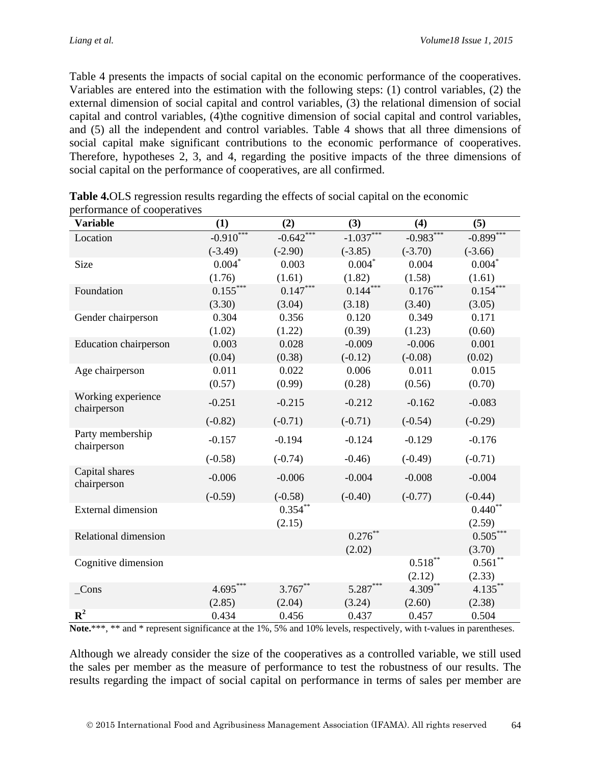Table 4 presents the impacts of social capital on the economic performance of the cooperatives. Variables are entered into the estimation with the following steps: (1) control variables, (2) the external dimension of social capital and control variables, (3) the relational dimension of social capital and control variables, (4)the cognitive dimension of social capital and control variables, and (5) all the independent and control variables. Table 4 shows that all three dimensions of social capital make significant contributions to the economic performance of cooperatives. Therefore, hypotheses 2, 3, and 4, regarding the positive impacts of the three dimensions of social capital on the performance of cooperatives, are all confirmed.

| <b>Variable</b>                   | (1)         | (2)         | (3)         | (4)         | (5)         |
|-----------------------------------|-------------|-------------|-------------|-------------|-------------|
| Location                          | $-0.910***$ | $-0.642***$ | $-1.037***$ | $-0.983***$ | $-0.899***$ |
|                                   | $(-3.49)$   | $(-2.90)$   | $(-3.85)$   | $(-3.70)$   | $(-3.66)$   |
| Size                              | $0.004*$    | 0.003       | $0.004*$    | 0.004       | $0.004*$    |
|                                   | (1.76)      | (1.61)      | (1.82)      | (1.58)      | (1.61)      |
| Foundation                        | $0.155***$  | $0.147***$  | $0.144***$  | $0.176***$  | $0.154***$  |
|                                   | (3.30)      | (3.04)      | (3.18)      | (3.40)      | (3.05)      |
| Gender chairperson                | 0.304       | 0.356       | 0.120       | 0.349       | 0.171       |
|                                   | (1.02)      | (1.22)      | (0.39)      | (1.23)      | (0.60)      |
| <b>Education</b> chairperson      | 0.003       | 0.028       | $-0.009$    | $-0.006$    | 0.001       |
|                                   | (0.04)      | (0.38)      | $(-0.12)$   | $(-0.08)$   | (0.02)      |
| Age chairperson                   | 0.011       | 0.022       | 0.006       | 0.011       | 0.015       |
|                                   | (0.57)      | (0.99)      | (0.28)      | (0.56)      | (0.70)      |
| Working experience<br>chairperson | $-0.251$    | $-0.215$    | $-0.212$    | $-0.162$    | $-0.083$    |
|                                   | $(-0.82)$   | $(-0.71)$   | $(-0.71)$   | $(-0.54)$   | $(-0.29)$   |
| Party membership<br>chairperson   | $-0.157$    | $-0.194$    | $-0.124$    | $-0.129$    | $-0.176$    |
|                                   | $(-0.58)$   | $(-0.74)$   | $-0.46$     | $(-0.49)$   | $(-0.71)$   |
| Capital shares<br>chairperson     | $-0.006$    | $-0.006$    | $-0.004$    | $-0.008$    | $-0.004$    |
|                                   | $(-0.59)$   | $(-0.58)$   | $(-0.40)$   | $(-0.77)$   | $(-0.44)$   |
| <b>External dimension</b>         |             | $0.354***$  |             |             | $0.440**$   |
|                                   |             | (2.15)      |             |             | (2.59)      |
| <b>Relational dimension</b>       |             |             | $0.276***$  |             | $0.505***$  |
|                                   |             |             | (2.02)      |             | (3.70)      |
| Cognitive dimension               |             |             |             | $0.518***$  | $0.561**$   |
|                                   |             |             |             | (2.12)      | (2.33)      |
| $\angle$ Cons                     | $4.695***$  | $3.767***$  | $5.287***$  | $4.309***$  | $4.135***$  |
|                                   | (2.85)      | (2.04)      | (3.24)      | (2.60)      | (2.38)      |
| ${\bf R}^2$                       | 0.434       | 0.456       | 0.437       | 0.457       | 0.504       |

|                             | <b>Table 4.0LS</b> regression results regarding the effects of social capital on the economic |  |
|-----------------------------|-----------------------------------------------------------------------------------------------|--|
| performance of cooperatives |                                                                                               |  |

**Note.**\*\*\*, \*\* and \* represent significance at the 1%, 5% and 10% levels, respectively, with t-values in parentheses.

Although we already consider the size of the cooperatives as a controlled variable, we still used the sales per member as the measure of performance to test the robustness of our results. The results regarding the impact of social capital on performance in terms of sales per member are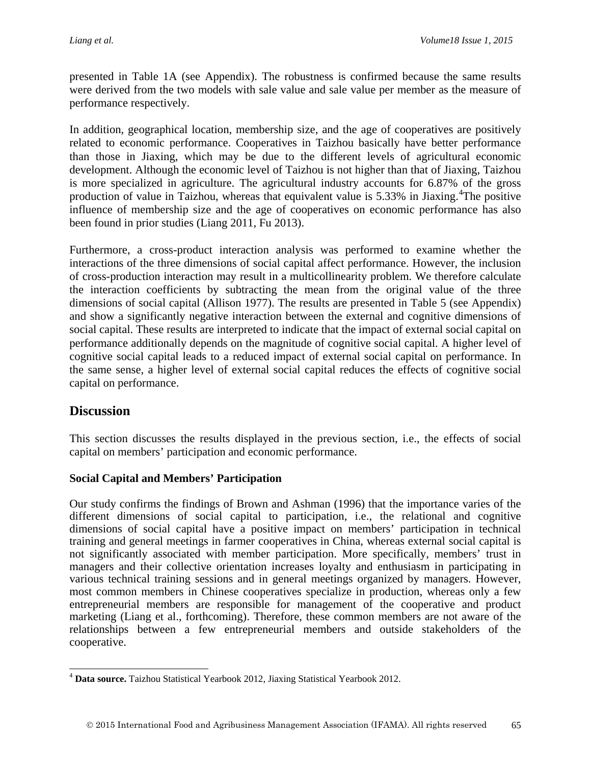presented in Table 1A (see Appendix). The robustness is confirmed because the same results were derived from the two models with sale value and sale value per member as the measure of performance respectively.

In addition, geographical location, membership size, and the age of cooperatives are positively related to economic performance. Cooperatives in Taizhou basically have better performance than those in Jiaxing, which may be due to the different levels of agricultural economic development. Although the economic level of Taizhou is not higher than that of Jiaxing, Taizhou is more specialized in agriculture. The agricultural industry accounts for 6.87% of the gross production of value in Taizhou, whereas that equivalent value is 5.33% in Jiaxing.<sup>[4](#page-16-0)</sup>The positive influence of membership size and the age of cooperatives on economic performance has also been found in prior studies (Liang 2011, Fu 2013).

Furthermore, a cross-product interaction analysis was performed to examine whether the interactions of the three dimensions of social capital affect performance. However, the inclusion of cross-production interaction may result in a multicollinearity problem. We therefore calculate the interaction coefficients by subtracting the mean from the original value of the three dimensions of social capital (Allison 1977). The results are presented in Table 5 (see Appendix) and show a significantly negative interaction between the external and cognitive dimensions of social capital. These results are interpreted to indicate that the impact of external social capital on performance additionally depends on the magnitude of cognitive social capital. A higher level of cognitive social capital leads to a reduced impact of external social capital on performance. In the same sense, a higher level of external social capital reduces the effects of cognitive social capital on performance.

### **Discussion**

 $\overline{a}$ 

This section discusses the results displayed in the previous section, i.e., the effects of social capital on members' participation and economic performance.

#### **Social Capital and Members' Participation**

Our study confirms the findings of Brown and Ashman (1996) that the importance varies of the different dimensions of social capital to participation, i.e., the relational and cognitive dimensions of social capital have a positive impact on members' participation in technical training and general meetings in farmer cooperatives in China, whereas external social capital is not significantly associated with member participation. More specifically, members' trust in managers and their collective orientation increases loyalty and enthusiasm in participating in various technical training sessions and in general meetings organized by managers. However, most common members in Chinese cooperatives specialize in production, whereas only a few entrepreneurial members are responsible for management of the cooperative and product marketing (Liang et al., forthcoming). Therefore, these common members are not aware of the relationships between a few entrepreneurial members and outside stakeholders of the cooperative.

<span id="page-16-0"></span><sup>4</sup> **Data source.** Taizhou Statistical Yearbook 2012, Jiaxing Statistical Yearbook 2012.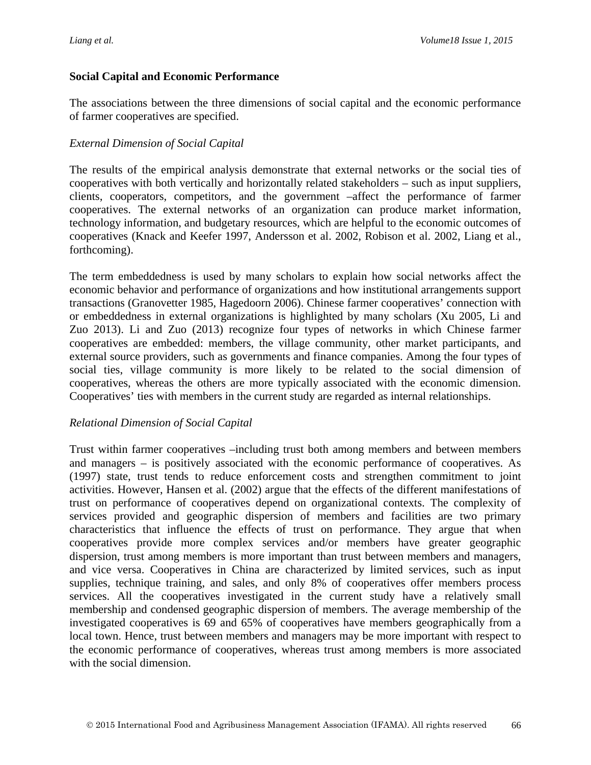#### **Social Capital and Economic Performance**

The associations between the three dimensions of social capital and the economic performance of farmer cooperatives are specified.

#### *External Dimension of Social Capital*

The results of the empirical analysis demonstrate that external networks or the social ties of cooperatives with both vertically and horizontally related stakeholders – such as input suppliers, clients, cooperators, competitors, and the government –affect the performance of farmer cooperatives. The external networks of an organization can produce market information, technology information, and budgetary resources, which are helpful to the economic outcomes of cooperatives (Knack and Keefer 1997, Andersson et al. 2002, Robison et al. 2002, Liang et al., forthcoming).

The term embeddedness is used by many scholars to explain how social networks affect the economic behavior and performance of organizations and how institutional arrangements support transactions (Granovetter 1985, Hagedoorn 2006). Chinese farmer cooperatives' connection with or embeddedness in external organizations is highlighted by many scholars (Xu 2005, Li and Zuo 2013). Li and Zuo (2013) recognize four types of networks in which Chinese farmer cooperatives are embedded: members, the village community, other market participants, and external source providers, such as governments and finance companies. Among the four types of social ties, village community is more likely to be related to the social dimension of cooperatives, whereas the others are more typically associated with the economic dimension. Cooperatives' ties with members in the current study are regarded as internal relationships.

#### *Relational Dimension of Social Capital*

Trust within farmer cooperatives –including trust both among members and between members and managers – is positively associated with the economic performance of cooperatives. As (1997) state, trust tends to reduce enforcement costs and strengthen commitment to joint activities. However, Hansen et al. (2002) argue that the effects of the different manifestations of trust on performance of cooperatives depend on organizational contexts. The complexity of services provided and geographic dispersion of members and facilities are two primary characteristics that influence the effects of trust on performance. They argue that when cooperatives provide more complex services and/or members have greater geographic dispersion, trust among members is more important than trust between members and managers, and vice versa. Cooperatives in China are characterized by limited services, such as input supplies, technique training, and sales, and only 8% of cooperatives offer members process services. All the cooperatives investigated in the current study have a relatively small membership and condensed geographic dispersion of members. The average membership of the investigated cooperatives is 69 and 65% of cooperatives have members geographically from a local town. Hence, trust between members and managers may be more important with respect to the economic performance of cooperatives, whereas trust among members is more associated with the social dimension.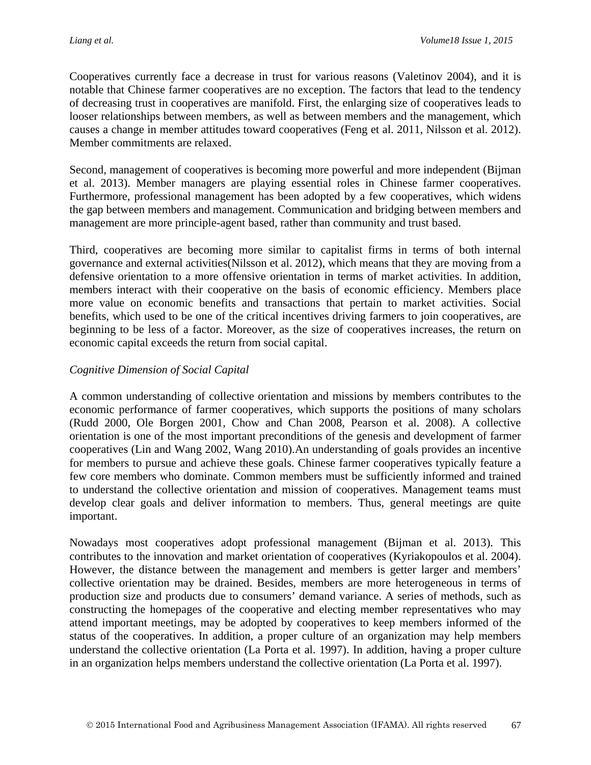Cooperatives currently face a decrease in trust for various reasons (Valetinov 2004), and it is notable that Chinese farmer cooperatives are no exception. The factors that lead to the tendency of decreasing trust in cooperatives are manifold. First, the enlarging size of cooperatives leads to looser relationships between members, as well as between members and the management, which causes a change in member attitudes toward cooperatives (Feng et al. 2011, Nilsson et al. 2012). Member commitments are relaxed.

Second, management of cooperatives is becoming more powerful and more independent (Bijman et al. 2013). Member managers are playing essential roles in Chinese farmer cooperatives. Furthermore, professional management has been adopted by a few cooperatives, which widens the gap between members and management. Communication and bridging between members and management are more principle-agent based, rather than community and trust based.

Third, cooperatives are becoming more similar to capitalist firms in terms of both internal governance and external activities(Nilsson et al. 2012), which means that they are moving from a defensive orientation to a more offensive orientation in terms of market activities. In addition, members interact with their cooperative on the basis of economic efficiency. Members place more value on economic benefits and transactions that pertain to market activities. Social benefits, which used to be one of the critical incentives driving farmers to join cooperatives, are beginning to be less of a factor. Moreover, as the size of cooperatives increases, the return on economic capital exceeds the return from social capital.

### *Cognitive Dimension of Social Capital*

A common understanding of collective orientation and missions by members contributes to the economic performance of farmer cooperatives, which supports the positions of many scholars (Rudd 2000, Ole Borgen 2001, Chow and Chan 2008, Pearson et al. 2008). A collective orientation is one of the most important preconditions of the genesis and development of farmer cooperatives (Lin and Wang 2002, Wang 2010).An understanding of goals provides an incentive for members to pursue and achieve these goals. Chinese farmer cooperatives typically feature a few core members who dominate. Common members must be sufficiently informed and trained to understand the collective orientation and mission of cooperatives. Management teams must develop clear goals and deliver information to members. Thus, general meetings are quite important.

Nowadays most cooperatives adopt professional management (Bijman et al. 2013). This contributes to the innovation and market orientation of cooperatives (Kyriakopoulos et al. 2004). However, the distance between the management and members is getter larger and members' collective orientation may be drained. Besides, members are more heterogeneous in terms of production size and products due to consumers' demand variance. A series of methods, such as constructing the homepages of the cooperative and electing member representatives who may attend important meetings, may be adopted by cooperatives to keep members informed of the status of the cooperatives. In addition, a proper culture of an organization may help members understand the collective orientation (La Porta et al. 1997). In addition, having a proper culture in an organization helps members understand the collective orientation (La Porta et al. 1997).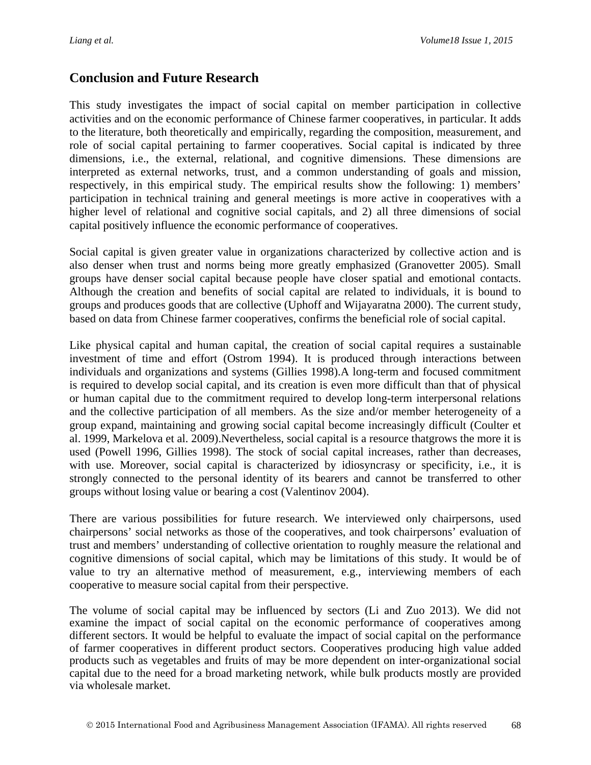### **Conclusion and Future Research**

This study investigates the impact of social capital on member participation in collective activities and on the economic performance of Chinese farmer cooperatives, in particular. It adds to the literature, both theoretically and empirically, regarding the composition, measurement, and role of social capital pertaining to farmer cooperatives. Social capital is indicated by three dimensions, i.e., the external, relational, and cognitive dimensions. These dimensions are interpreted as external networks, trust, and a common understanding of goals and mission, respectively, in this empirical study. The empirical results show the following: 1) members' participation in technical training and general meetings is more active in cooperatives with a higher level of relational and cognitive social capitals, and 2) all three dimensions of social capital positively influence the economic performance of cooperatives.

Social capital is given greater value in organizations characterized by collective action and is also denser when trust and norms being more greatly emphasized (Granovetter 2005). Small groups have denser social capital because people have closer spatial and emotional contacts. Although the creation and benefits of social capital are related to individuals, it is bound to groups and produces goods that are collective (Uphoff and Wijayaratna 2000). The current study, based on data from Chinese farmer cooperatives, confirms the beneficial role of social capital.

Like physical capital and human capital, the creation of social capital requires a sustainable investment of time and effort (Ostrom 1994). It is produced through interactions between individuals and organizations and systems (Gillies 1998).A long-term and focused commitment is required to develop social capital, and its creation is even more difficult than that of physical or human capital due to the commitment required to develop long-term interpersonal relations and the collective participation of all members. As the size and/or member heterogeneity of a group expand, maintaining and growing social capital become increasingly difficult (Coulter et al. 1999, Markelova et al. 2009).Nevertheless, social capital is a resource thatgrows the more it is used (Powell 1996, Gillies 1998). The stock of social capital increases, rather than decreases, with use. Moreover, social capital is characterized by idiosyncrasy or specificity, i.e., it is strongly connected to the personal identity of its bearers and cannot be transferred to other groups without losing value or bearing a cost (Valentinov 2004).

There are various possibilities for future research. We interviewed only chairpersons, used chairpersons' social networks as those of the cooperatives, and took chairpersons' evaluation of trust and members' understanding of collective orientation to roughly measure the relational and cognitive dimensions of social capital, which may be limitations of this study. It would be of value to try an alternative method of measurement, e.g., interviewing members of each cooperative to measure social capital from their perspective.

The volume of social capital may be influenced by sectors (Li and Zuo 2013). We did not examine the impact of social capital on the economic performance of cooperatives among different sectors. It would be helpful to evaluate the impact of social capital on the performance of farmer cooperatives in different product sectors. Cooperatives producing high value added products such as vegetables and fruits of may be more dependent on inter-organizational social capital due to the need for a broad marketing network, while bulk products mostly are provided via wholesale market.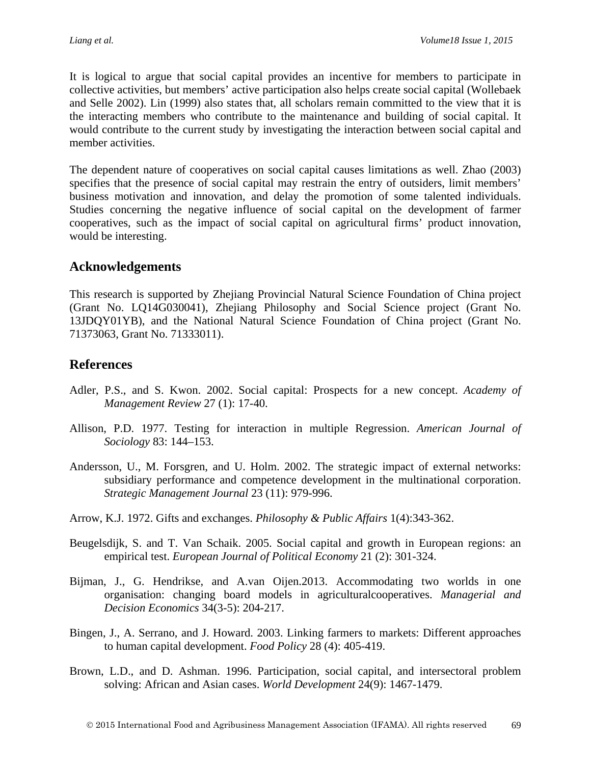It is logical to argue that social capital provides an incentive for members to participate in collective activities, but members' active participation also helps create social capital (Wollebaek and Selle 2002). Lin (1999) also states that, all scholars remain committed to the view that it is the interacting members who contribute to the maintenance and building of social capital. It would contribute to the current study by investigating the interaction between social capital and member activities.

The dependent nature of cooperatives on social capital causes limitations as well. Zhao (2003) specifies that the presence of social capital may restrain the entry of outsiders, limit members' business motivation and innovation, and delay the promotion of some talented individuals. Studies concerning the negative influence of social capital on the development of farmer cooperatives, such as the impact of social capital on agricultural firms' product innovation, would be interesting.

## **Acknowledgements**

This research is supported by Zhejiang Provincial Natural Science Foundation of China project (Grant No. LQ14G030041), Zhejiang Philosophy and Social Science project (Grant No. 13JDQY01YB), and the National Natural Science Foundation of China project (Grant No. 71373063, Grant No. 71333011).

## **References**

- Adler, P.S., and S. Kwon. 2002. Social capital: Prospects for a new concept. *Academy of Management Review* 27 (1): 17-40.
- Allison, P.D. 1977. Testing for interaction in multiple Regression. *American Journal of Sociology* 83: 144–153.
- Andersson, U., M. Forsgren, and U. Holm. 2002. The strategic impact of external networks: subsidiary performance and competence development in the multinational corporation. *Strategic Management Journal* 23 (11): 979-996.
- Arrow, K.J. 1972. Gifts and exchanges. *Philosophy & Public Affairs* 1(4):343-362.
- Beugelsdijk, S. and T. Van Schaik. 2005. Social capital and growth in European regions: an empirical test. *European Journal of Political Economy* 21 (2): 301-324.
- Bijman, J., G. Hendrikse, and A.van Oijen.2013. [Accommodating two worlds in one](http://onlinelibrary.wiley.com.ezproxy2.library.arizona.edu/doi/10.1002/mde.2584/full)  [organisation: changing board models in agriculturalcooperatives.](http://onlinelibrary.wiley.com.ezproxy2.library.arizona.edu/doi/10.1002/mde.2584/full) *Managerial and Decision Economics* 34(3-5): 204-217.
- Bingen, J., A. Serrano, and J. Howard. 2003. Linking farmers to markets: Different approaches to human capital development. *Food Policy* 28 (4): 405-419.
- Brown, L.D., and D. Ashman. 1996. Participation, social capital, and intersectoral problem solving: African and Asian cases. *World Development* 24(9): 1467-1479.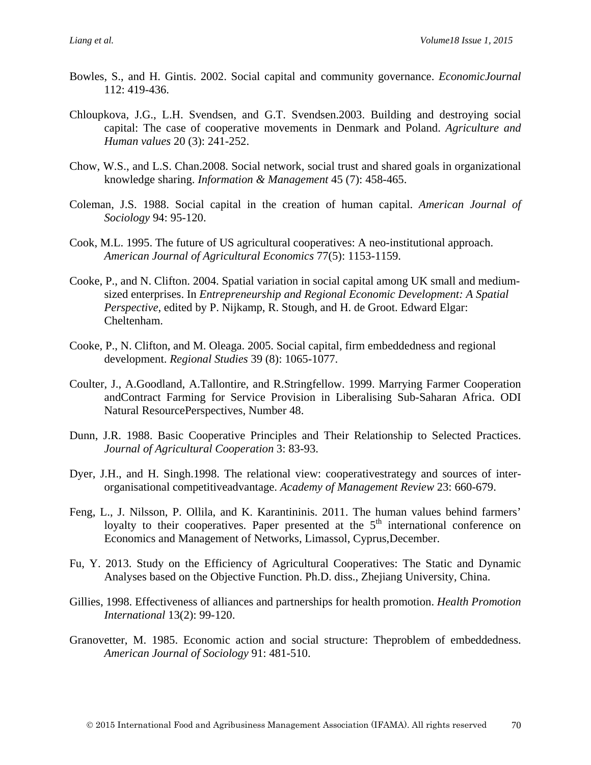- Bowles, S., and H. Gintis. 2002. Social capital and community governance. *EconomicJournal* 112: 419-436.
- Chloupkova, J.G., L.H. Svendsen, and G.T. Svendsen.2003. Building and destroying social capital: The case of cooperative movements in Denmark and Poland. *Agriculture and Human values* 20 (3): 241-252.
- Chow, W.S., and L.S. Chan.2008. Social network, social trust and shared goals in organizational knowledge sharing. *Information & Management* 45 (7): 458-465.
- Coleman, J.S. 1988. Social capital in the creation of human capital. *American Journal of Sociology* 94: 95-120.
- Cook, M.L. 1995. The future of US agricultural cooperatives: A neo-institutional approach. *American Journal of Agricultural Economics* 77(5): 1153-1159.
- Cooke, P., and N. Clifton. 2004. Spatial variation in social capital among UK small and mediumsized enterprises. In *Entrepreneurship and Regional Economic Development: A Spatial Perspective*, edited by P. Nijkamp, R. Stough, and H. de Groot. Edward Elgar: Cheltenham.
- Cooke, P., N. Clifton, and M. Oleaga. 2005. Social capital, firm embeddedness and regional development. *Regional Studies* 39 (8): 1065-1077.
- Coulter, J., A.Goodland, A.Tallontire, and R.Stringfellow. 1999. Marrying Farmer Cooperation andContract Farming for Service Provision in Liberalising Sub-Saharan Africa. ODI Natural ResourcePerspectives, Number 48.
- Dunn, J.R. 1988. Basic Cooperative Principles and Their Relationship to Selected Practices. *Journal of Agricultural Cooperation* 3: 83-93.
- Dyer, J.H., and H. Singh.1998. The relational view: cooperativestrategy and sources of interorganisational competitiveadvantage. *Academy of Management Review* 23: 660-679.
- Feng, L., J. Nilsson, P. Ollila, and K. Karantininis. 2011. The human values behind farmers' loyalty to their cooperatives. Paper presented at the  $5<sup>th</sup>$  international conference on Economics and Management of Networks, Limassol, Cyprus,December.
- Fu, Y. 2013. Study on the Efficiency of Agricultural Cooperatives: The Static and Dynamic Analyses based on the Objective Function. Ph.D. diss., Zhejiang University, China.
- Gillies, 1998. Effectiveness of alliances and partnerships for health promotion. *Health Promotion International* 13(2): 99-120.
- Granovetter, M. 1985. Economic action and social structure: Theproblem of embeddedness. *American Journal of Sociology* 91: 481-510.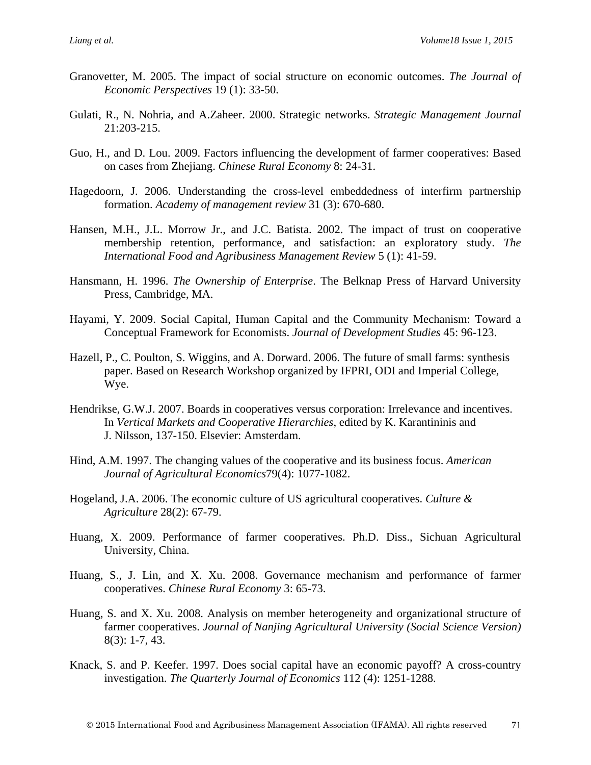- Granovetter, M. 2005. The impact of social structure on economic outcomes. *The Journal of Economic Perspectives* 19 (1): 33-50.
- Gulati, R., N. Nohria, and A.Zaheer. 2000. [Strategic networks.](http://tc.liblink.umn.edu/sfx_local?ctx_enc=info%3Aofi%2Fenc%3AUTF-8&ctx_id=10_1&ctx_tim=2011-09-27T10%3A46%3A9CDT&ctx_ver=Z39.88-2004&rfr_id=info%3Asid%2Fsfxit.com%3Acitation&rft.atitle=Strategic%20networks&rft.aufirst=Akbar&rft.aulast=Zaheer&rft.date=2000&rft.epage=215&rft.genre=article&rft.issn=0143-2095&rft.issue=3&rft.jtitle=Strategic%20Management%20Journal&rft.spage=203&rft.volume=21&rft_val_fmt=info%3Aofi%2Ffmt%3Akev%3Amtx%3Aarticle&sfx.title_search=exact&url_ctx_fmt=info%3Aofi%2Ffmt%3Akev%3Amtx%3Actx&url_ver=Z39.88-2004) *Strategic Management Journal* 21:203-215.
- Guo, H., and D. Lou. 2009. Factors influencing the development of farmer cooperatives: Based on cases from Zhejiang. *Chinese Rural Economy* 8: 24-31.
- Hagedoorn, J. 2006. Understanding the cross-level embeddedness of interfirm partnership formation. *Academy of management review* 31 (3): 670-680.
- Hansen, M.H., J.L. Morrow Jr., and J.C. Batista. 2002. The impact of trust on cooperative membership retention, performance, and satisfaction: an exploratory study. *The International Food and Agribusiness Management Review* 5 (1): 41-59.
- Hansmann, H. 1996. *The Ownership of Enterprise*. The Belknap Press of Harvard University Press, Cambridge, MA.
- Hayami, Y. 2009. Social Capital, Human Capital and the Community Mechanism: Toward a Conceptual Framework for Economists. *Journal of Development Studies* 45: 96-123.
- Hazell, P., C. Poulton, S. Wiggins, and A. Dorward. 2006. The future of small farms: synthesis paper. Based on Research Workshop organized by IFPRI, ODI and Imperial College, Wye.
- Hendrikse, G.W.J. 2007. Boards in cooperatives versus corporation: Irrelevance and incentives. In *Vertical Markets and Cooperative Hierarchies*, edited by K. Karantininis and J. Nilsson, 137-150. Elsevier: Amsterdam.
- Hind, A.M. 1997. The changing values of the cooperative and its business focus. *American Journal of Agricultural Economics*79(4): 1077-1082.
- Hogeland, J.A. 2006. The economic culture of US agricultural cooperatives. *Culture & Agriculture* 28(2): 67-79.
- Huang, X. 2009. Performance of farmer cooperatives. Ph.D. Diss., Sichuan Agricultural University, China.
- Huang, S., J. Lin, and X. Xu. 2008. Governance mechanism and performance of farmer cooperatives. *Chinese Rural Economy* 3: 65-73.
- Huang, S. and X. Xu. 2008. Analysis on member heterogeneity and organizational structure of farmer cooperatives. *Journal of Nanjing Agricultural University (Social Science Version)* 8(3): 1-7, 43.
- Knack, S. and P. Keefer. 1997. Does social capital have an economic payoff? A cross-country investigation. *The Quarterly Journal of Economics* 112 (4): 1251-1288.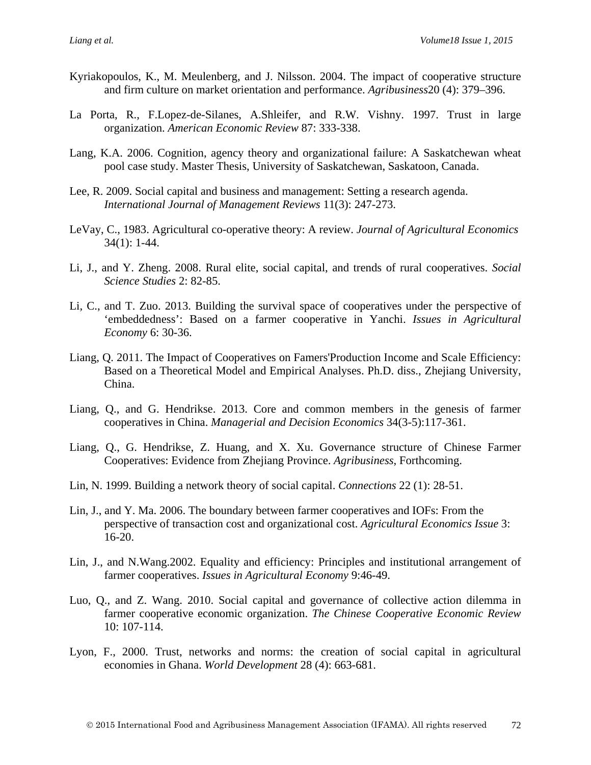- Kyriakopoulos, K., M. Meulenberg, and J. Nilsson. 2004. The impact of cooperative structure and firm culture on market orientation and performance. *Agribusiness*20 (4): 379–396.
- La Porta, R., F.Lopez-de-Silanes, A.Shleifer, and R.W. Vishny. 1997. Trust in large organization. *American Economic Review* 87: 333-338.
- Lang, K.A. 2006. Cognition, agency theory and organizational failure: A Saskatchewan wheat pool case study. Master Thesis, University of Saskatchewan, Saskatoon, Canada.
- Lee, R. 2009. Social capital and business and management: Setting a research agenda. *International Journal of Management Reviews* 11(3): 247-273.
- LeVay, C., 1983. Agricultural co-operative theory: A review. *Journal of Agricultural Economics* 34(1): 1-44.
- Li, J., and Y. Zheng. 2008. Rural elite, social capital, and trends of rural cooperatives. *Social Science Studies* 2: 82-85.
- Li, C., and T. Zuo. 2013. Building the survival space of cooperatives under the perspective of 'embeddedness': Based on a farmer cooperative in Yanchi. *Issues in Agricultural Economy* 6: 30-36.
- Liang, Q. 2011. The Impact of Cooperatives on Famers'Production Income and Scale Efficiency: Based on a Theoretical Model and Empirical Analyses. Ph.D. diss., Zhejiang University, China.
- Liang, Q., and G. Hendrikse. 2013. Core and common members in the genesis of farmer cooperatives in China. *Managerial and Decision Economics* 34(3-5):117-361.
- Liang, Q., G. Hendrikse, Z. Huang, and X. Xu. Governance structure of Chinese Farmer Cooperatives: Evidence from Zhejiang Province. *Agribusiness*, Forthcoming.
- Lin, N. 1999. Building a network theory of social capital. *Connections* 22 (1): 28-51.
- Lin, J., and Y. Ma. 2006. The boundary between farmer cooperatives and IOFs: From the perspective of transaction cost and organizational cost. *Agricultural Economics Issue* 3: 16-20.
- Lin, J., and N.Wang.2002. Equality and efficiency: Principles and institutional arrangement of farmer cooperatives. *Issues in Agricultural Economy* 9:46-49.
- Luo, Q., and Z. Wang. 2010. Social capital and governance of collective action dilemma in farmer cooperative economic organization. *The Chinese Cooperative Economic Review* 10: 107-114.
- Lyon, F., 2000. Trust, networks and norms: the creation of social capital in agricultural economies in Ghana. *World Development* 28 (4): 663-681.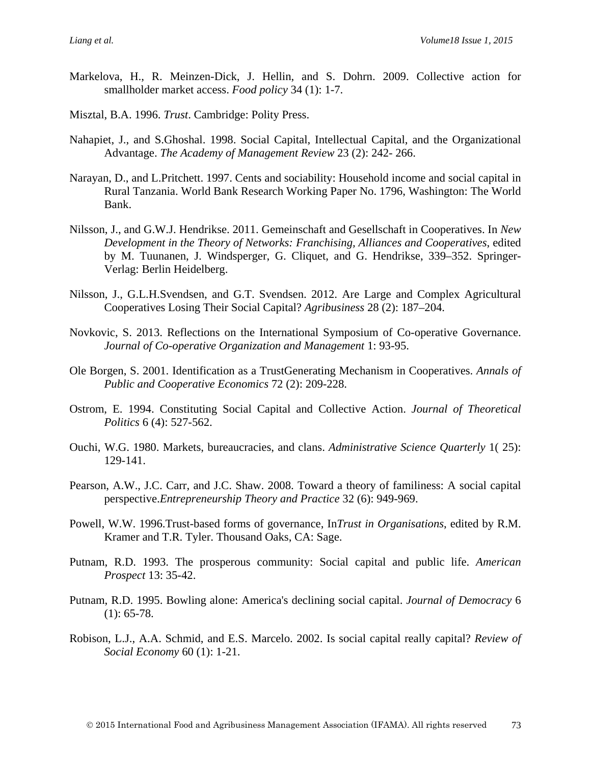- Markelova, H., R. Meinzen-Dick, J. Hellin, and S. Dohrn. 2009. Collective action for smallholder market access. *Food policy* 34 (1): 1-7.
- Misztal, B.A. 1996. *Trust*. Cambridge: Polity Press.
- Nahapiet, J., and S.Ghoshal. 1998. Social Capital, Intellectual Capital, and the Organizational Advantage. *The Academy of Management Review* 23 (2): 242- 266.
- Narayan, D., and L.Pritchett. 1997. Cents and sociability: Household income and social capital in Rural Tanzania. World Bank Research Working Paper No. 1796, Washington: The World Bank.
- Nilsson, J., and G.W.J. Hendrikse. 2011. Gemeinschaft and Gesellschaft in Cooperatives. In *New Development in the Theory of Networks: Franchising, Alliances and Cooperatives*, edited by M. Tuunanen, J. Windsperger, G. Cliquet, and G. Hendrikse, 339–352. Springer-Verlag: Berlin Heidelberg.
- Nilsson, J., G.L.H.Svendsen, and G.T. Svendsen. 2012. Are Large and Complex Agricultural Cooperatives Losing Their Social Capital? *Agribusiness* 28 (2): 187–204.
- Novkovic, S. 2013. Reflections on the International Symposium of Co-operative Governance. *Journal of Co-operative Organization and Management* 1: 93-95.
- Ole Borgen, S. 2001. Identification as a TrustGenerating Mechanism in Cooperatives. *Annals of Public and Cooperative Economics* 72 (2): 209-228.
- Ostrom, E. 1994. Constituting Social Capital and Collective Action. *Journal of Theoretical Politics* 6 (4): 527-562.
- Ouchi, W.G. 1980. Markets, bureaucracies, and clans. *Administrative Science Quarterly* 1( 25): 129-141.
- Pearson, A.W., J.C. Carr, and J.C. Shaw. 2008. Toward a theory of familiness: A social capital perspective.*Entrepreneurship Theory and Practice* 32 (6): 949-969.
- Powell, W.W. 1996.Trust-based forms of governance, In*Trust in Organisations*, edited by R.M. Kramer and T.R. Tyler. Thousand Oaks, CA: Sage.
- Putnam, R.D. 1993. The prosperous community: Social capital and public life. *American Prospect* 13: 35-42.
- Putnam, R.D. 1995. Bowling alone: America's declining social capital. *Journal of Democracy* 6  $(1): 65-78.$
- Robison, L.J., A.A. Schmid, and E.S. Marcelo. 2002. Is social capital really capital? *Review of Social Economy* 60 (1): 1-21.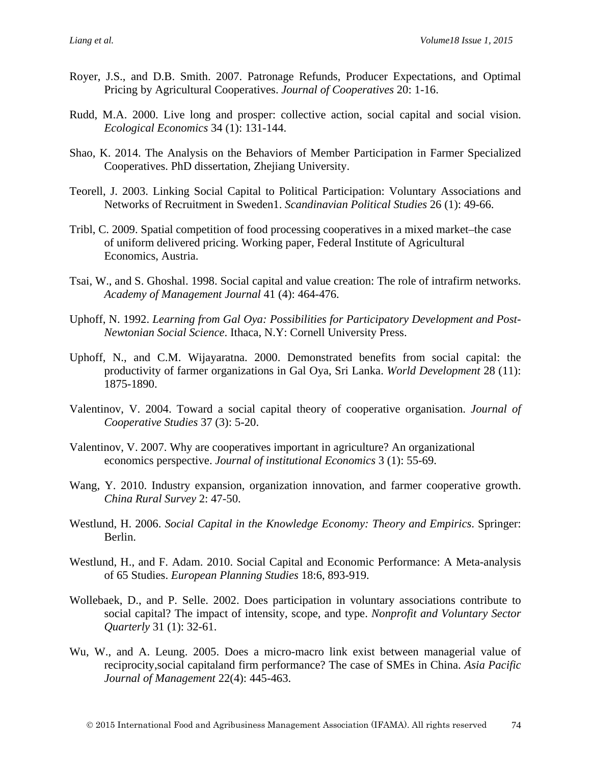- Royer, J.S., and D.B. Smith. 2007. Patronage Refunds, Producer Expectations, and Optimal Pricing by Agricultural Cooperatives. *Journal of Cooperatives* 20: 1-16.
- Rudd, M.A. 2000. Live long and prosper: collective action, social capital and social vision. *Ecological Economics* 34 (1): 131-144.
- Shao, K. 2014. The Analysis on the Behaviors of Member Participation in Farmer Specialized Cooperatives. PhD dissertation, Zhejiang University.
- Teorell, J. 2003. Linking Social Capital to Political Participation: Voluntary Associations and Networks of Recruitment in Sweden1. *Scandinavian Political Studies* 26 (1): 49-66.
- Tribl, C. 2009. Spatial competition of food processing cooperatives in a mixed market–the case of uniform delivered pricing. Working paper, Federal Institute of Agricultural Economics, Austria.
- Tsai, W., and S. Ghoshal. 1998. Social capital and value creation: The role of intrafirm networks. *Academy of Management Journal* 41 (4): 464-476.
- Uphoff, N. 1992. *Learning from Gal Oya: Possibilities for Participatory Development and Post-Newtonian Social Science*. Ithaca, N.Y: Cornell University Press.
- Uphoff, N., and C.M. Wijayaratna. 2000. Demonstrated benefits from social capital: the productivity of farmer organizations in Gal Oya, Sri Lanka. *World Development* 28 (11): 1875-1890.
- Valentinov, V. 2004. Toward a social capital theory of cooperative organisation. *Journal of Cooperative Studies* 37 (3): 5-20.
- Valentinov, V. 2007. Why are cooperatives important in agriculture? An organizational economics perspective. *Journal of institutional Economics* 3 (1): 55-69.
- Wang, Y. 2010. Industry expansion, organization innovation, and farmer cooperative growth. *China Rural Survey* 2: 47-50.
- Westlund, H. 2006. *Social Capital in the Knowledge Economy: Theory and Empirics*. Springer: Berlin.
- Westlund, H., and F. Adam. 2010. Social Capital and Economic Performance: A Meta-analysis of 65 Studies. *European Planning Studies* 18:6, 893-919.
- Wollebaek, D., and P. Selle. 2002. Does participation in voluntary associations contribute to social capital? The impact of intensity, scope, and type. *Nonprofit and Voluntary Sector Quarterly* 31 (1): 32-61.
- Wu, W., and A. Leung. 2005. [Does a micro-macro link exist between](http://link.springer.com/article/10.1007/s10490-005-4119-7) managerial value of [reciprocity,social capitaland firm performance? The case of SMEs in China.](http://link.springer.com/article/10.1007/s10490-005-4119-7) *Asia Pacific Journal of Management* 22(4): 445-463.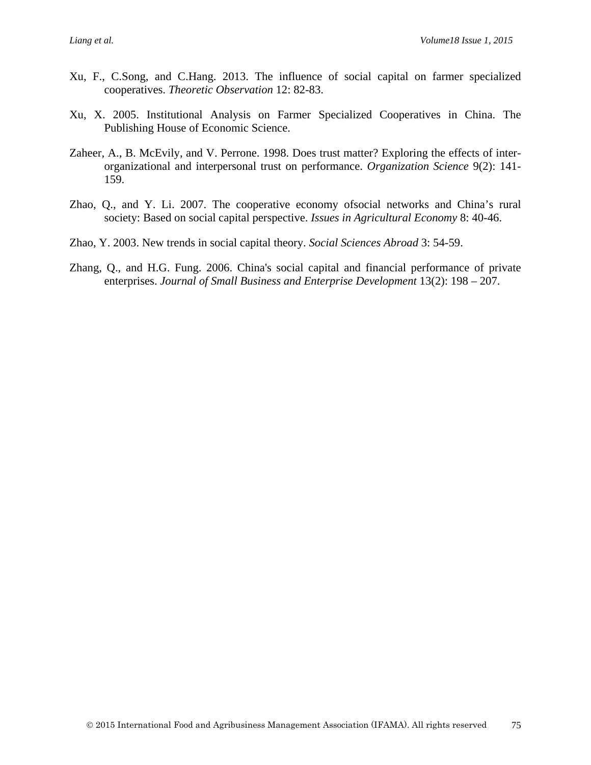- Xu, F., C.Song, and C.Hang. 2013. The influence of social capital on farmer specialized cooperatives. *Theoretic Observation* 12: 82-83.
- Xu, X. 2005. Institutional Analysis on Farmer Specialized Cooperatives in China. The Publishing House of Economic Science.
- Zaheer, A., B. McEvily, and V. Perrone. 1998. Does trust matter? Exploring the effects of interorganizational and interpersonal trust on performance. *Organization Science* 9(2): 141- 159.
- Zhao, Q., and Y. Li. 2007. The cooperative economy ofsocial networks and China's rural society: Based on social capital perspective. *Issues in Agricultural Economy* 8: 40-46.
- Zhao, Y. 2003. New trends in social capital theory. *Social Sciences Abroad* 3: 54-59.
- Zhang, Q., and H.G. Fung. 2006. China's social capital and financial performance of private enterprises. *Journal of Small Business and Enterprise Development* 13(2): 198 – 207.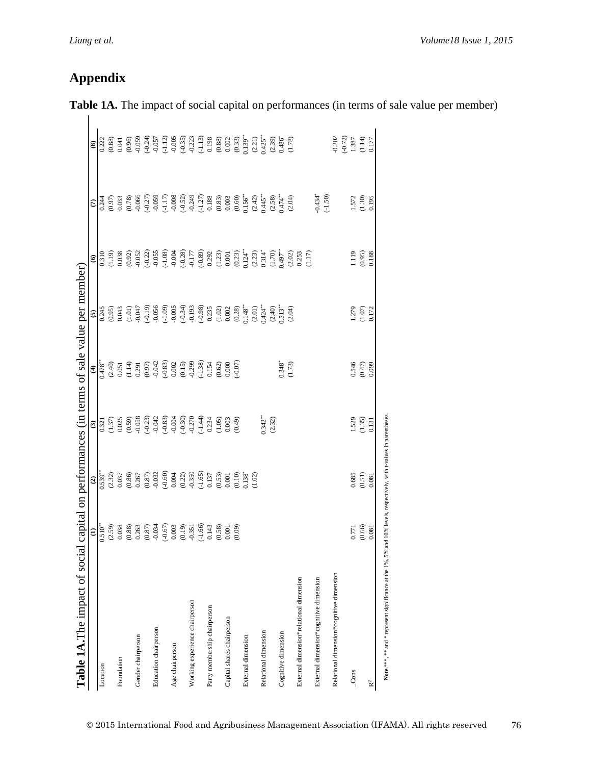# **Appendix**

| Table 1A. The impact of social                                                                                      |                                                                                  |                                                                                              |                                                                                                                                                                                      |                                                                                                | capital on performances (in terms of sale value per member)                                                      |                                                                                                                                                                                                                                                                                                         |                                                                                                                                                                         |                                                                                                                                                                                                                                                                                                                                                                                                                                                               |
|---------------------------------------------------------------------------------------------------------------------|----------------------------------------------------------------------------------|----------------------------------------------------------------------------------------------|--------------------------------------------------------------------------------------------------------------------------------------------------------------------------------------|------------------------------------------------------------------------------------------------|------------------------------------------------------------------------------------------------------------------|---------------------------------------------------------------------------------------------------------------------------------------------------------------------------------------------------------------------------------------------------------------------------------------------------------|-------------------------------------------------------------------------------------------------------------------------------------------------------------------------|---------------------------------------------------------------------------------------------------------------------------------------------------------------------------------------------------------------------------------------------------------------------------------------------------------------------------------------------------------------------------------------------------------------------------------------------------------------|
|                                                                                                                     |                                                                                  |                                                                                              |                                                                                                                                                                                      | $\widehat{\mathbf{t}}$                                                                         | $\mathbf{\widehat{e}}$                                                                                           | $\widehat{\bullet}$                                                                                                                                                                                                                                                                                     | $\epsilon$                                                                                                                                                              | $\widehat{\mathbf{e}}$                                                                                                                                                                                                                                                                                                                                                                                                                                        |
| Location                                                                                                            |                                                                                  | $\frac{(2)}{0.539}$                                                                          |                                                                                                                                                                                      |                                                                                                |                                                                                                                  | 0.310                                                                                                                                                                                                                                                                                                   | 0.244                                                                                                                                                                   |                                                                                                                                                                                                                                                                                                                                                                                                                                                               |
|                                                                                                                     |                                                                                  |                                                                                              |                                                                                                                                                                                      |                                                                                                |                                                                                                                  |                                                                                                                                                                                                                                                                                                         |                                                                                                                                                                         | $\begin{array}{c} 0.222 \\ 0.88 \end{array}$<br>0.041                                                                                                                                                                                                                                                                                                                                                                                                         |
| Foundation                                                                                                          |                                                                                  |                                                                                              |                                                                                                                                                                                      |                                                                                                |                                                                                                                  | (61.19)                                                                                                                                                                                                                                                                                                 | $(0.97)$<br>0.033                                                                                                                                                       |                                                                                                                                                                                                                                                                                                                                                                                                                                                               |
|                                                                                                                     |                                                                                  |                                                                                              |                                                                                                                                                                                      |                                                                                                |                                                                                                                  |                                                                                                                                                                                                                                                                                                         |                                                                                                                                                                         |                                                                                                                                                                                                                                                                                                                                                                                                                                                               |
| Gender chairperson                                                                                                  |                                                                                  |                                                                                              |                                                                                                                                                                                      |                                                                                                | 745<br>(0.95)<br>(1.01)<br>(1.01)<br>(0.047                                                                      | $(0.92)$<br>$-0.052$                                                                                                                                                                                                                                                                                    | (0.78)                                                                                                                                                                  | (0.96)                                                                                                                                                                                                                                                                                                                                                                                                                                                        |
|                                                                                                                     | $\frac{(1)}{(2.59)}$<br>$(2.59)$<br>$(0.38)$<br>$(0.88)$<br>$(0.87)$<br>$(0.87)$ | $\begin{array}{c} (2.32) \\ 0.037 \\ 0.86) \\ 0.267 \\ 0.267 \\ 0.87) \\ 0.932 \end{array}$  |                                                                                                                                                                                      |                                                                                                | $(-0.19)$                                                                                                        | $(-0.22)$                                                                                                                                                                                                                                                                                               |                                                                                                                                                                         |                                                                                                                                                                                                                                                                                                                                                                                                                                                               |
| Education chairperson                                                                                               |                                                                                  |                                                                                              |                                                                                                                                                                                      |                                                                                                | $-0.056$                                                                                                         | $-0.055$                                                                                                                                                                                                                                                                                                |                                                                                                                                                                         |                                                                                                                                                                                                                                                                                                                                                                                                                                                               |
|                                                                                                                     | $(-0.67)$                                                                        | $(-0.60)$                                                                                    | $\begin{array}{c} \boxed{3} \\[-2.0ex] 0.321 \\[-2.0ex] 0.025 \\[-2.0ex] 0.058 \\[-2.0ex] 0.058 \\[-2.0ex] -0.042 \\[-2.0ex] -0.042 \\[-2.0ex] -0.042 \\[-2.0ex] -0.033 \end{array}$ | $0.478$<br>$(2.40)$<br>$(0.051)$<br>$(1.14)$<br>$(0.291)$<br>$(0.97)$<br>$(0.83)$<br>$(0.032)$ | $(-1.09)$                                                                                                        | $(-1.08)$                                                                                                                                                                                                                                                                                               | $\begin{array}{l} ( -0.27) \\ -0.059 \\ -0.008 \\ -0.008 \\ -0.521 \\ -0.249 \\ -0.249 \\ -0.249 \\ -0.083 \\ 0.033 \\ 0.003 \\ 0.003 \\ 0.003 \\ 0.003 \\ \end{array}$ | $\begin{array}{l} \left(-1.27\right) \\ \left(-1.12\right) \\ \left(-1.49\right) \\ \left(-1.59\right) \\ \left(-1.59\right) \\ \left(-1.59\right) \\ \left(-1.59\right) \\ \left(-1.59\right) \\ \left(-1.59\right) \\ \left(-1.59\right) \\ \left(-1.59\right) \\ \left(-1.59\right) \\ \left(-1.59\right) \\ \left(-1.59\right) \\ \left(-1.59\right) \\ \left(-1.59\right) \\ \left(-1.59\right) \\ \left(-1.59\right) \\ \left(-1.59\right) \\ \left(-1$ |
| Age chairperson                                                                                                     | 0.003                                                                            |                                                                                              | $-0.004$                                                                                                                                                                             |                                                                                                | $-0.005$                                                                                                         | $-0.004$                                                                                                                                                                                                                                                                                                |                                                                                                                                                                         |                                                                                                                                                                                                                                                                                                                                                                                                                                                               |
|                                                                                                                     |                                                                                  |                                                                                              |                                                                                                                                                                                      |                                                                                                |                                                                                                                  |                                                                                                                                                                                                                                                                                                         |                                                                                                                                                                         |                                                                                                                                                                                                                                                                                                                                                                                                                                                               |
| Working experience chairperson                                                                                      |                                                                                  |                                                                                              |                                                                                                                                                                                      |                                                                                                |                                                                                                                  |                                                                                                                                                                                                                                                                                                         |                                                                                                                                                                         |                                                                                                                                                                                                                                                                                                                                                                                                                                                               |
|                                                                                                                     | $\begin{array}{c} (0.19) \\ -0.351 \\ (-1.66) \\ 0.143 \\ (0.58) \end{array}$    | $\begin{array}{c} 0.004 \\ 0.22) \\ -0.350 \\ -1.65) \\ 0.137 \\ 0.053 \\ 0.001 \end{array}$ | $(-0.30)$<br>$-0.270$<br>$(-1.44)$<br>$0.234$<br>$(1.05)$                                                                                                                            | $(0.15)$<br>$-0.299$<br>$(-1.38)$<br>$0.154$<br>$(0.62)$                                       | $\begin{array}{l} (-0.34) \\ -0.193 \\ -0.193 \\ 0.235 \\ 0.002 \\ 0.002 \\ 0.04^{**} \\ 0.148^{**} \end{array}$ |                                                                                                                                                                                                                                                                                                         |                                                                                                                                                                         |                                                                                                                                                                                                                                                                                                                                                                                                                                                               |
| Party membership chairperson                                                                                        |                                                                                  |                                                                                              |                                                                                                                                                                                      |                                                                                                |                                                                                                                  |                                                                                                                                                                                                                                                                                                         |                                                                                                                                                                         |                                                                                                                                                                                                                                                                                                                                                                                                                                                               |
|                                                                                                                     |                                                                                  |                                                                                              |                                                                                                                                                                                      |                                                                                                |                                                                                                                  |                                                                                                                                                                                                                                                                                                         |                                                                                                                                                                         |                                                                                                                                                                                                                                                                                                                                                                                                                                                               |
| Capital shares chairperson                                                                                          |                                                                                  |                                                                                              |                                                                                                                                                                                      |                                                                                                |                                                                                                                  |                                                                                                                                                                                                                                                                                                         |                                                                                                                                                                         |                                                                                                                                                                                                                                                                                                                                                                                                                                                               |
|                                                                                                                     | (0.09)                                                                           | (0.10)                                                                                       | (0.49)                                                                                                                                                                               | $(-0.07)$                                                                                      |                                                                                                                  |                                                                                                                                                                                                                                                                                                         |                                                                                                                                                                         |                                                                                                                                                                                                                                                                                                                                                                                                                                                               |
| External dimension                                                                                                  |                                                                                  | 0.138                                                                                        |                                                                                                                                                                                      |                                                                                                |                                                                                                                  |                                                                                                                                                                                                                                                                                                         | $0.156^{**}$                                                                                                                                                            |                                                                                                                                                                                                                                                                                                                                                                                                                                                               |
|                                                                                                                     |                                                                                  | (1.62)                                                                                       |                                                                                                                                                                                      |                                                                                                | $(2.01)$<br>$0.424$ <sup>**</sup>                                                                                |                                                                                                                                                                                                                                                                                                         |                                                                                                                                                                         |                                                                                                                                                                                                                                                                                                                                                                                                                                                               |
| Relational dimension                                                                                                |                                                                                  |                                                                                              | $0.342**$                                                                                                                                                                            |                                                                                                |                                                                                                                  |                                                                                                                                                                                                                                                                                                         | $(2.42)$<br>0.445*                                                                                                                                                      |                                                                                                                                                                                                                                                                                                                                                                                                                                                               |
|                                                                                                                     |                                                                                  |                                                                                              | (2.32)                                                                                                                                                                               |                                                                                                |                                                                                                                  |                                                                                                                                                                                                                                                                                                         |                                                                                                                                                                         |                                                                                                                                                                                                                                                                                                                                                                                                                                                               |
| Cognitive dimension                                                                                                 |                                                                                  |                                                                                              |                                                                                                                                                                                      | $0.348^*$                                                                                      | $(2.40)$<br>$0.513$ **                                                                                           |                                                                                                                                                                                                                                                                                                         | $(2.58)$<br>$(474$ <sup>**</sup>                                                                                                                                        |                                                                                                                                                                                                                                                                                                                                                                                                                                                               |
|                                                                                                                     |                                                                                  |                                                                                              |                                                                                                                                                                                      | (1.73)                                                                                         | (2.04)                                                                                                           |                                                                                                                                                                                                                                                                                                         | (2.04)                                                                                                                                                                  |                                                                                                                                                                                                                                                                                                                                                                                                                                                               |
| External dimension*relational dimension                                                                             |                                                                                  |                                                                                              |                                                                                                                                                                                      |                                                                                                |                                                                                                                  | $\begin{array}{l} ( -0.28) \\ -0.177 \\ -0.89) \\ 0.292 \\ 0.001 \\ 0.001 \\ 0.012 \\ 0.012 \\ 0.123 \\ 0.124 \\ 0.124 \\ 0.144 \\ 0.144 \\ 0.147 \\ 0.203 \\ 0.253 \\ 0.253 \\ 0.253 \\ 0.253 \\ 0.253 \\ 0.253 \\ 0.253 \\ 0.253 \\ 0.253 \\ 0.253 \\ 0.253 \\ 0.253 \\ 0.253 \\ 0.253 \\ 0.253 \\ 0$ |                                                                                                                                                                         |                                                                                                                                                                                                                                                                                                                                                                                                                                                               |
| External dimension*cognitive dimension                                                                              |                                                                                  |                                                                                              |                                                                                                                                                                                      |                                                                                                |                                                                                                                  |                                                                                                                                                                                                                                                                                                         | $0.434$ <sup>*</sup>                                                                                                                                                    |                                                                                                                                                                                                                                                                                                                                                                                                                                                               |
|                                                                                                                     |                                                                                  |                                                                                              |                                                                                                                                                                                      |                                                                                                |                                                                                                                  |                                                                                                                                                                                                                                                                                                         | $(-1.50)$                                                                                                                                                               |                                                                                                                                                                                                                                                                                                                                                                                                                                                               |
| Relational dimension*cognitive dimension                                                                            |                                                                                  |                                                                                              |                                                                                                                                                                                      |                                                                                                |                                                                                                                  |                                                                                                                                                                                                                                                                                                         |                                                                                                                                                                         |                                                                                                                                                                                                                                                                                                                                                                                                                                                               |
|                                                                                                                     |                                                                                  |                                                                                              |                                                                                                                                                                                      |                                                                                                |                                                                                                                  |                                                                                                                                                                                                                                                                                                         |                                                                                                                                                                         | $-0.202$<br>$(-0.72)$<br>$1.387$                                                                                                                                                                                                                                                                                                                                                                                                                              |
| $_{\rm Cons}$                                                                                                       | 0.771                                                                            | 0.685                                                                                        | 1.529                                                                                                                                                                                | 0.546                                                                                          | 1.279                                                                                                            | 1.119                                                                                                                                                                                                                                                                                                   | 1.572                                                                                                                                                                   |                                                                                                                                                                                                                                                                                                                                                                                                                                                               |
|                                                                                                                     | (0.66)                                                                           | $\frac{(0.51)}{0.081}$                                                                       | $(1.35)$<br>0.131                                                                                                                                                                    | $(0.47)$<br>0.099                                                                              | $(1.07)$                                                                                                         | (0.95)                                                                                                                                                                                                                                                                                                  | (1.30)                                                                                                                                                                  | $(1.14)$                                                                                                                                                                                                                                                                                                                                                                                                                                                      |
| R <sup>2</sup>                                                                                                      | 0.081                                                                            |                                                                                              |                                                                                                                                                                                      |                                                                                                | 0.172                                                                                                            | 0.188                                                                                                                                                                                                                                                                                                   | 0.195                                                                                                                                                                   | 0.177                                                                                                                                                                                                                                                                                                                                                                                                                                                         |
| Note:***, ** and * represent significance at the 1%, 5% and 10% levels, respectively, with t-values in parentheses. |                                                                                  |                                                                                              |                                                                                                                                                                                      |                                                                                                |                                                                                                                  |                                                                                                                                                                                                                                                                                                         |                                                                                                                                                                         |                                                                                                                                                                                                                                                                                                                                                                                                                                                               |

Table 1A. The impact of social capital on performances (in terms of sale value per member)